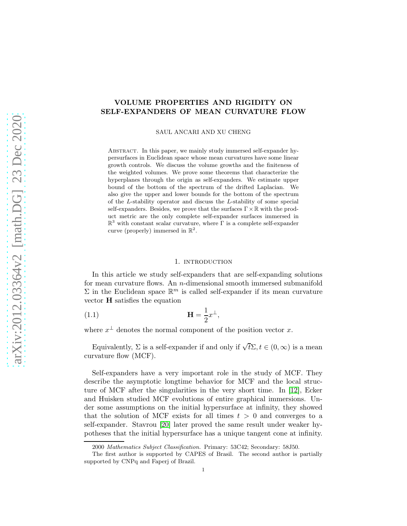# VOLUME PROPERTIES AND RIGIDITY ON SELF-EXPANDERS OF MEAN CURVATURE FLOW

SAUL ANCARI AND XU CHENG

Abstract. In this paper, we mainly study immersed self-expander hypersurfaces in Euclidean space whose mean curvatures have some linear growth controls. We discuss the volume growths and the finiteness of the weighted volumes. We prove some theorems that characterize the hyperplanes through the origin as self-expanders. We estimate upper bound of the bottom of the spectrum of the drifted Laplacian. We also give the upper and lower bounds for the bottom of the spectrum of the L-stability operator and discuss the L-stability of some special self-expanders. Besides, we prove that the surfaces  $\Gamma \times \mathbb{R}$  with the product metric are the only complete self-expander surfaces immersed in  $\mathbb{R}^3$  with constant scalar curvature, where  $\Gamma$  is a complete self-expander curve (properly) immersed in  $\mathbb{R}^2$ .

## 1. INTRODUCTION

In this article we study self-expanders that are self-expanding solutions for mean curvature flows. An n-dimensional smooth immersed submanifold  $\Sigma$  in the Euclidean space  $\mathbb{R}^m$  is called self-expander if its mean curvature vector H satisfies the equation

$$
\mathbf{H} = \frac{1}{2}x^{\perp},
$$

where  $x^{\perp}$  denotes the normal component of the position vector x.

Equivalently,  $\Sigma$  is a self-expander if and only if  $\sqrt{t}\Sigma$ ,  $t \in (0,\infty)$  is a mean curvature flow (MCF).

Self-expanders have a very important role in the study of MCF. They describe the asymptotic longtime behavior for MCF and the local structure of MCF after the singularities in the very short time. In [\[12\]](#page-27-0), Ecker and Huisken studied MCF evolutions of entire graphical immersions. Under some assumptions on the initial hypersurface at infinity, they showed that the solution of MCF exists for all times  $t > 0$  and converges to a self-expander. Stavrou [\[20\]](#page-27-1) later proved the same result under weaker hypotheses that the initial hypersurface has a unique tangent cone at infinity.

<sup>2000</sup> Mathematics Subject Classification. Primary: 53C42; Secondary: 58J50.

The first author is supported by CAPES of Brasil. The second author is partially supported by CNPq and Faperj of Brazil.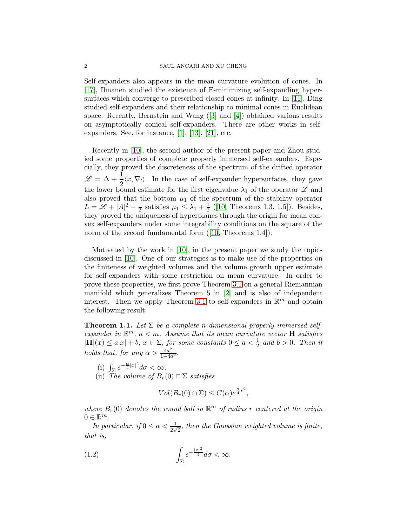Self-expanders also appears in the mean curvature evolution of cones. In [\[17\]](#page-27-2), Ilmanen studied the existence of E-minimizing self-expanding hypersurfaces which converge to prescribed closed cones at infinity. In [\[11\]](#page-27-3), Ding studied self-expanders and their relationship to minimal cones in Euclidean space. Recently, Bernstein and Wang([\[3\]](#page-27-4) and [\[4\]](#page-27-5)) obtained various results on asymptotically conical self-expanders. There are other works in selfexpanders. See, for instance, [\[1\]](#page-27-6), [\[13\]](#page-27-7), [\[21\]](#page-28-0), etc.

Recently in [\[10\]](#page-27-8), the second author of the present paper and Zhou studied some properties of complete properly immersed self-expanders. Especially, they proved the discreteness of the spectrum of the drifted operator  $\mathscr{L} = \Delta + \frac{1}{2} \langle x, \nabla \cdot \rangle$ . In the case of self-expander hypersurfaces, they gave the lower bound estimate for the first eigenvalue  $\lambda_1$  of the operator  $\mathscr L$  and also proved that the bottom  $\mu_1$  of the spectrum of the stability operator  $L = \mathcal{L} + |A|^2 - \frac{1}{2}$  $\frac{1}{2}$  satisfies  $\mu_1 \leq \lambda_1 + \frac{1}{2}$  $\frac{1}{2}$  ([\[10,](#page-27-8) Theorems 1.3, 1.5]). Besides, they proved the uniqueness of hyperplanes through the origin for mean convex self-expanders under some integrability conditions on the square of the normof the second fundamental form ([\[10,](#page-27-8) Theorems 1.4]).

Motivated by the work in [\[10\]](#page-27-8), in the present paper we study the topics discussed in [\[10\]](#page-27-8). One of our strategies is to make use of the properties on the finiteness of weighted volumes and the volume growth upper estimate for self-expanders with some restriction on mean curvature. In order to prove these properties, we first prove Theorem [3.1](#page-9-0) on a general Riemannian manifold which generalizes Theorem 5 in [\[2\]](#page-27-9) and is also of independent interest. Then we apply Theorem [3.1](#page-9-0) to self-expanders in  $\mathbb{R}^m$  and obtain the following result:

<span id="page-1-0"></span>**Theorem 1.1.** Let  $\Sigma$  be a complete n-dimensional properly immersed selfexpander in  $\mathbb{R}^m$ ,  $n < m$ . Assume that its mean curvature vector **H** satisfies  $|\mathbf{H}|(x) \leq a|x| + b, x \in \Sigma$ , for some constants  $0 \leq a < \frac{1}{2}$  and  $b > 0$ . Then it holds that, for any  $\alpha > \frac{4a^2}{1-4a}$  $\frac{4a^2}{1-4a^2}$ 

- (i)  $\int_{\Sigma} e^{-\frac{\alpha}{4}|x|^2} d\sigma < \infty$ .
- (ii) The volume of  $B_r(0) \cap \Sigma$  satisfies

$$
Vol(B_r(0) \cap \Sigma) \leq C(\alpha) e^{\frac{\alpha}{4}r^2},
$$

where  $B_r(0)$  denotes the round ball in  $\mathbb{R}^m$  of radius r centered at the origin  $0 \in \mathbb{R}^m$ .

In particular, if  $0 \le a < \frac{1}{2\sqrt{2}}$ , then the Gaussian weighted volume is finite, that is,

<span id="page-1-1"></span>(1.2) 
$$
\int_{\Sigma} e^{-\frac{|x|^2}{4}} d\sigma < \infty.
$$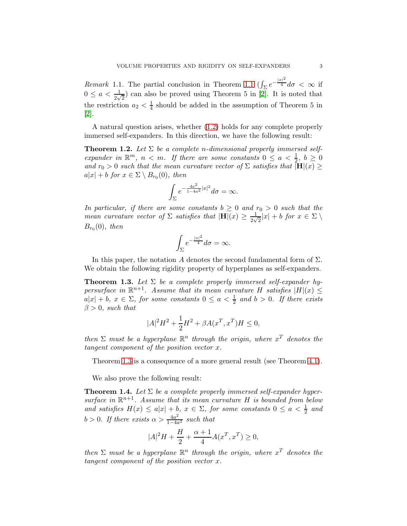Remark [1.1](#page-1-0). The partial conclusion in Theorem 1.1  $\left(\int_{\Sigma} e^{-\frac{|x|^2}{4}} d\sigma < \infty \right)$  if  $0 \le a < \frac{1}{2\sqrt{2}}$  can also be proved using Theorem 5 in [\[2\]](#page-27-9). It is noted that the restriction  $a_2 < \frac{1}{4}$  should be added in the assumption of Theorem 5 in [\[2\]](#page-27-9).

A natural question arises, whether [\(1.2\)](#page-1-1) holds for any complete properly immersed self-expanders. In this direction, we have the following result:

<span id="page-2-1"></span>**Theorem 1.2.** Let  $\Sigma$  be a complete n-dimensional properly immersed selfexpander in  $\mathbb{R}^m$ ,  $n < m$ . If there are some constants  $0 \le a < \frac{1}{2}$ ,  $b \ge 0$ and  $r_0 > 0$  such that the mean curvature vector of  $\Sigma$  satisfies that  $\overline{\left[\mathbf{H}\right]}(x) \geq$  $a|x| + b$  for  $x \in \Sigma \setminus B_{r_0}(0)$ , then

$$
\int_{\Sigma} e^{-\frac{4a^2}{1-4a^2}|x|^2} d\sigma = \infty.
$$

In particular, if there are some constants  $b \geq 0$  and  $r_0 > 0$  such that the mean curvature vector of  $\Sigma$  satisfies that  $|\mathbf{H}|(x) \geq \frac{1}{2\sqrt{x}}$  $\frac{1}{2\sqrt{2}}|x| + b$  for  $x \in \Sigma \setminus$  $B_{r_0}(0)$ , then

$$
\int_{\Sigma}e^{-\frac{|x|^2}{4}}d\sigma=\infty.
$$

In this paper, the notation A denotes the second fundamental form of  $\Sigma$ . We obtain the following rigidity property of hyperplanes as self-expanders.

<span id="page-2-0"></span>**Theorem 1.3.** Let  $\Sigma$  be a complete properly immersed self-expander hypersurface in  $\mathbb{R}^{n+1}$ . Assume that its mean curvature H satisfies  $|H|(x) \le$  $a|x| + b$ ,  $x \in \Sigma$ , for some constants  $0 \le a < \frac{1}{2}$  and  $b > 0$ . If there exists  $\beta > 0$ , such that

$$
|A|^2 H^2 + \frac{1}{2}H^2 + \beta A(x^T, x^T)H \le 0,
$$

then  $\Sigma$  must be a hyperplane  $\mathbb{R}^n$  through the origin, where  $x^T$  denotes the tangent component of the position vector x.

Theorem [1.3](#page-2-0) is a consequence of a more general result (see Theorem [4.1\)](#page-14-0).

We also prove the following result:

<span id="page-2-2"></span>**Theorem 1.4.** Let  $\Sigma$  be a complete properly immersed self-expander hypersurface in  $\mathbb{R}^{n+1}$ . Assume that its mean curvature H is bounded from below and satisfies  $H(x) \leq a|x| + b$ ,  $x \in \Sigma$ , for some constants  $0 \leq a < \frac{1}{2}$  and  $b > 0$ . If there exists  $\alpha > \frac{4a^2}{1-4a}$  $rac{4a^2}{1-4a^2}$  such that

$$
|A|^2 H + \frac{H}{2} + \frac{\alpha + 1}{4} A(x^T, x^T) \ge 0,
$$

then  $\Sigma$  must be a hyperplane  $\mathbb{R}^n$  through the origin, where  $x^T$  denotes the tangent component of the position vector x.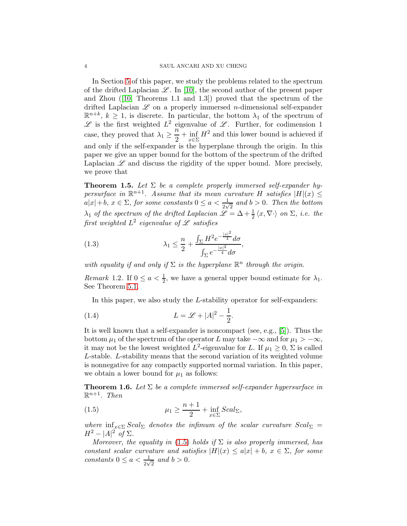#### 4 SAUL ANCARI AND XU CHENG

In Section [5](#page-17-0) of this paper, we study the problems related to the spectrum of the drifted Laplacian  $\mathscr{L}$ . In [\[10\]](#page-27-8), the second author of the present paper and Zhou([\[10,](#page-27-8) Theorems 1.1 and 1.3]) proved that the spectrum of the drifted Laplacian  $\mathscr L$  on a properly immersed *n*-dimensional self-expander  $\mathbb{R}^{n+k}$ ,  $k \geq 1$ , is discrete. In particular, the bottom  $\lambda_1$  of the spectrum of  $\mathscr L$  is the first weighted  $L^2$  eigenvalue of  $\mathscr L$ . Further, for codimension 1 case, they proved that  $\lambda_1 \geq \frac{n}{2}$  $\frac{x}{2} + \inf_{x \in \Sigma}$  $x \in \Sigma$  $H<sup>2</sup>$  and this lower bound is achieved if and only if the self-expander is the hyperplane through the origin. In this paper we give an upper bound for the bottom of the spectrum of the drifted Laplacian  $\mathscr L$  and discuss the rigidity of the upper bound. More precisely, we prove that

<span id="page-3-2"></span>**Theorem 1.5.** Let  $\Sigma$  be a complete properly immersed self-expander hypersurface in  $\mathbb{R}^{n+1}$ . Assume that its mean curvature H satisfies  $|H|(x) \le$  $a|x|+b, x \in \Sigma$ , for some constants  $0 \le a < \frac{1}{2\sqrt{2}}$  and  $b > 0$ . Then the bottom  $\lambda_1$  of the spectrum of the drifted Laplacian  $\mathscr{L} = \Delta + \frac{1}{2} \langle x, \nabla \cdot \rangle$  on  $\Sigma$ , i.e. the first weighted  $L^2$  eigenvalue of  ${\mathscr L}$  satisfies

(1.3) 
$$
\lambda_1 \leq \frac{n}{2} + \frac{\int_{\Sigma} H^2 e^{-\frac{|x|^2}{4}} d\sigma}{\int_{\Sigma} e^{-\frac{|x|^2}{4}} d\sigma},
$$

with equality if and only if  $\Sigma$  is the hyperplane  $\mathbb{R}^n$  through the origin.

*Remark* 1.2. If  $0 \le a < \frac{1}{2}$ , we have a general upper bound estimate for  $\lambda_1$ . See Theorem [5.1.](#page-18-0)

In this paper, we also study the L-stability operator for self-expanders:

$$
(1.4) \tL = \mathcal{L} + |A|^2 - \frac{1}{2}.
$$

It is well known that a self-expander is noncompact (see, e.g., [\[5\]](#page-27-10)). Thus the bottom  $\mu_1$  of the spectrum of the operator L may take  $-\infty$  and for  $\mu_1 > -\infty$ , it may not be the lowest weighted  $L^2$ -eigenvalue for L. If  $\mu_1 \geq 0$ ,  $\Sigma$  is called L-stable. L-stability means that the second variation of its weighted volume is nonnegative for any compactly supported normal variation. In this paper, we obtain a lower bound for  $\mu_1$  as follows:

<span id="page-3-1"></span>**Theorem 1.6.** Let  $\Sigma$  be a complete immersed self-expander hypersurface in  $\mathbb{R}^{n+1}$ . Then

<span id="page-3-0"></span>(1.5) 
$$
\mu_1 \geq \frac{n+1}{2} + \inf_{x \in \Sigma} Scal_{\Sigma},
$$

where  $\inf_{x \in \Sigma}$  Scal<sub>Σ</sub> denotes the infimum of the scalar curvature Scal<sub>Σ</sub> =  $H^2 - |A|^2$  of  $\Sigma$ .

Moreover, the equality in [\(1.5\)](#page-3-0) holds if  $\Sigma$  is also properly immersed, has constant scalar curvature and satisfies  $|H|(x) \leq a|x| + b$ ,  $x \in \Sigma$ , for some constants  $0 \le a < \frac{1}{2\sqrt{2}}$  and  $b > 0$ .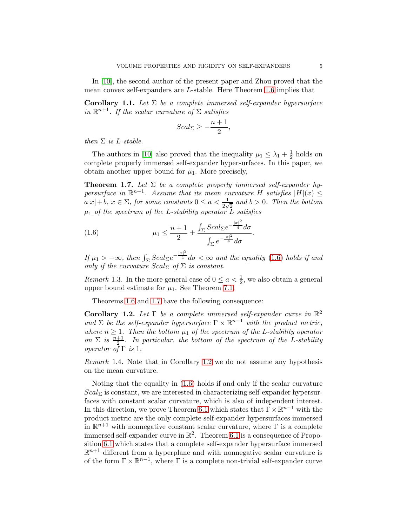In [\[10\]](#page-27-8), the second author of the present paper and Zhou proved that the mean convex self-expanders are L-stable. Here Theorem [1.6](#page-3-1) implies that

<span id="page-4-3"></span>Corollary 1.1. Let  $\Sigma$  be a complete immersed self-expander hypersurface in  $\mathbb{R}^{n+1}$ . If the scalar curvature of  $\Sigma$  satisfies

$$
Scal_{\Sigma} \ge -\frac{n+1}{2},
$$

then  $\Sigma$  is L-stable.

The authors in [\[10\]](#page-27-8) also proved that the inequality  $\mu_1 \leq \lambda_1 + \frac{1}{2}$  $\frac{1}{2}$  holds on complete properly immersed self-expander hypersurfaces. In this paper, we obtain another upper bound for  $\mu_1$ . More precisely,

<span id="page-4-1"></span>**Theorem 1.7.** Let  $\Sigma$  be a complete properly immersed self-expander hypersurface in  $\mathbb{R}^{n+1}$ . Assume that its mean curvature H satisfies  $|H|(x) \le$  $a|x|+b, x \in \Sigma$ , for some constants  $0 \le a < \frac{1}{2\sqrt{2}}$  and  $b > 0$ . Then the bottom  $\mu_1$  of the spectrum of the L-stability operator  $\overline{L}$  satisfies

<span id="page-4-0"></span>(1.6) 
$$
\mu_1 \leq \frac{n+1}{2} + \frac{\int_{\Sigma} Scal_{\Sigma} e^{-\frac{|x|^2}{4}} d\sigma}{\int_{\Sigma} e^{-\frac{|x|^2}{4}} d\sigma}.
$$

If  $\mu_1 > -\infty$ , then  $\int_{\Sigma} Scal_{\Sigma}e^{-\frac{|x|^2}{4}} d\sigma < \infty$  and the equality [\(1.6\)](#page-4-0) holds if and only if the curvature  $Scal_{\Sigma}$  of  $\Sigma$  is constant.

*Remark* 1.3. In the more general case of  $0 \le a < \frac{1}{2}$ , we also obtain a general upper bound estimate for  $\mu_1$ . See Theorem [7.1.](#page-24-0)

Theorems [1.6](#page-3-1) and [1.7](#page-4-1) have the following consequence:

<span id="page-4-2"></span>Corollary 1.2. Let  $\Gamma$  be a complete immersed self-expander curve in  $\mathbb{R}^2$ and  $\Sigma$  be the self-expander hypersurface  $\Gamma \times \mathbb{R}^{n-1}$  with the product metric, where  $n \geq 1$ . Then the bottom  $\mu_1$  of the spectrum of the L-stability operator on  $\Sigma$  is  $\frac{n+1}{2}$ . In particular, the bottom of the spectrum of the L-stability operator of  $\Gamma$  is 1.

Remark 1.4. Note that in Corollary [1.2](#page-4-2) we do not assume any hypothesis on the mean curvature.

Noting that the equality in [\(1.6\)](#page-4-0) holds if and only if the scalar curvature  $Scal_{\Sigma}$  is constant, we are interested in characterizing self-expander hypersurfaces with constant scalar curvature, which is also of independent interest. In this direction, we prove Theorem [6.1](#page-21-0) which states that  $\Gamma \times \mathbb{R}^{n-1}$  with the product metric are the only complete self-expander hypersurfaces immersed in  $\mathbb{R}^{n+1}$  with nonnegative constant scalar curvature, where  $\Gamma$  is a complete immersed self-expander curve in  $\mathbb{R}^2$ . Theorem [6.1](#page-21-0) is a consequence of Proposition [6.1](#page-20-0) which states that a complete self-expander hypersurface immersed  $\mathbb{R}^{n+1}$  different from a hyperplane and with nonnegative scalar curvature is of the form  $\Gamma \times \mathbb{R}^{n-1}$ , where  $\Gamma$  is a complete non-trivial self-expander curve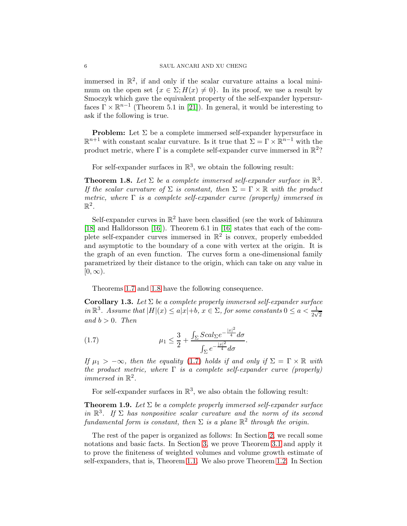immersed in  $\mathbb{R}^2$ , if and only if the scalar curvature attains a local minimum on the open set  $\{x \in \Sigma; H(x) \neq 0\}$ . In its proof, we use a result by Smoczyk which gave the equivalent property of the self-expander hypersurfaces  $\Gamma \times \mathbb{R}^{n-1}$  (Theorem 5.1 in [\[21\]](#page-28-0)). In general, it would be interesting to ask if the following is true.

**Problem:** Let  $\Sigma$  be a complete immersed self-expander hypersurface in  $\mathbb{R}^{n+1}$  with constant scalar curvature. Is it true that  $\Sigma = \Gamma \times \mathbb{R}^{n-1}$  with the product metric, where  $\Gamma$  is a complete self-expander curve immersed in  $\mathbb{R}^2$ ?

For self-expander surfaces in  $\mathbb{R}^3$ , we obtain the following result:

<span id="page-5-0"></span>**Theorem 1.8.** Let  $\Sigma$  be a complete immersed self-expander surface in  $\mathbb{R}^3$ . If the scalar curvature of  $\Sigma$  is constant, then  $\Sigma = \Gamma \times \mathbb{R}$  with the product metric, where  $\Gamma$  is a complete self-expander curve (properly) immersed in  $\mathbb{R}^2$ .

Self-expander curves in  $\mathbb{R}^2$  have been classified (see the work of Ishimura [\[18\]](#page-27-11) and Halldorsson [\[16\]](#page-27-12)). Theorem 6.1 in [\[16\]](#page-27-12) states that each of the complete self-expander curves immersed in  $\mathbb{R}^2$  is convex, properly embedded and asymptotic to the boundary of a cone with vertex at the origin. It is the graph of an even function. The curves form a one-dimensional family parametrized by their distance to the origin, which can take on any value in  $[0,\infty).$ 

Theorems [1.7](#page-4-1) and [1.8](#page-5-0) have the following consequence.

Corollary 1.3. Let  $\Sigma$  be a complete properly immersed self-expander surface in  $\mathbb{R}^3$ . Assume that  $|H|(x) \leq a|x|+b$ ,  $x \in \Sigma$ , for some constants  $0 \leq a < \frac{1}{2\sqrt{2}}$ and  $b > 0$ . Then

<span id="page-5-1"></span>(1.7) 
$$
\mu_1 \leq \frac{3}{2} + \frac{\int_{\Sigma} Scal_{\Sigma} e^{-\frac{|x|^2}{4}} d\sigma}{\int_{\Sigma} e^{-\frac{|x|^2}{4}} d\sigma}.
$$

If  $\mu_1 > -\infty$ , then the equality [\(1.7\)](#page-5-1) holds if and only if  $\Sigma = \Gamma \times \mathbb{R}$  with the product metric, where  $\Gamma$  is a complete self-expander curve (properly) immersed in  $\mathbb{R}^2$ .

For self-expander surfaces in  $\mathbb{R}^3$ , we also obtain the following result:

<span id="page-5-2"></span>**Theorem 1.9.** Let  $\Sigma$  be a complete properly immersed self-expander surface in  $\mathbb{R}^3$ . If  $\Sigma$  has nonpositive scalar curvature and the norm of its second fundamental form is constant, then  $\Sigma$  is a plane  $\mathbb{R}^2$  through the origin.

The rest of the paper is organized as follows: In Section [2,](#page-6-0) we recall some notations and basic facts. In Section [3,](#page-8-0) we prove Theorem [3.1](#page-9-0) and apply it to prove the finiteness of weighted volumes and volume growth estimate of self-expanders, that is, Theorem [1.1.](#page-1-0) We also prove Theorem [1.2.](#page-2-1) In Section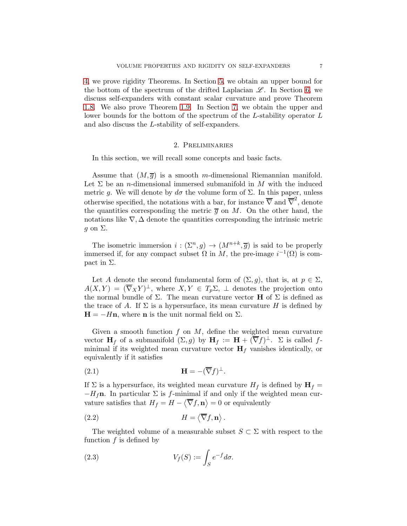[4,](#page-14-1) we prove rigidity Theorems. In Section [5,](#page-17-0) we obtain an upper bound for the bottom of the spectrum of the drifted Laplacian  $\mathscr{L}$ . In Section [6,](#page-20-1) we discuss self-expanders with constant scalar curvature and prove Theorem [1.8.](#page-5-0) We also prove Theorem [1.9.](#page-5-2) In Section [7,](#page-23-0) we obtain the upper and lower bounds for the bottom of the spectrum of the L-stability operator L and also discuss the L-stability of self-expanders.

### 2. Preliminaries

<span id="page-6-0"></span>In this section, we will recall some concepts and basic facts.

Assume that  $(M, \overline{g})$  is a smooth m-dimensional Riemannian manifold. Let  $\Sigma$  be an *n*-dimensional immersed submanifold in M with the induced metric g. We will denote by  $d\sigma$  the volume form of  $\Sigma$ . In this paper, unless otherwise specified, the notations with a bar, for instance  $\overline{\nabla}$  and  $\overline{\nabla}^2$ , denote the quantities corresponding the metric  $\overline{g}$  on M. On the other hand, the notations like  $\nabla$ ,  $\Delta$  denote the quantities corresponding the intrinsic metric  $q$  on  $\Sigma$ .

The isometric immersion  $i: (\Sigma^n, g) \to (M^{n+k}, \overline{g})$  is said to be properly immersed if, for any compact subset  $\Omega$  in M, the pre-image  $i^{-1}(\Omega)$  is compact in Σ.

Let A denote the second fundamental form of  $(\Sigma, g)$ , that is, at  $p \in \Sigma$ ,  $A(X,Y) = (\nabla_X Y)^{\perp}$ , where  $X, Y \in T_p \Sigma$ ,  $\perp$  denotes the projection onto the normal bundle of  $\Sigma$ . The mean curvature vector **H** of  $\Sigma$  is defined as the trace of A. If  $\Sigma$  is a hypersurface, its mean curvature H is defined by  $H = -Hn$ , where n is the unit normal field on  $\Sigma$ .

Given a smooth function  $f$  on  $M$ , define the weighted mean curvature vector  $\mathbf{H}_f$  of a submanifold  $(\Sigma, g)$  by  $\mathbf{H}_f := \mathbf{H} + (\overline{\nabla}f)^{\perp}$ .  $\Sigma$  is called fminimal if its weighted mean curvature vector  $H_f$  vanishes identically, or equivalently if it satisfies

<span id="page-6-2"></span>
$$
\mathbf{H} = -(\overline{\nabla}f)^{\perp}.
$$

If  $\Sigma$  is a hypersurface, its weighted mean curvature  $H_f$  is defined by  $H_f =$  $-H_f$ n. In particular  $\Sigma$  is f-minimal if and only if the weighted mean curvature satisfies that  $H_f = H - \langle \overline{\nabla} f, \mathbf{n} \rangle = 0$  or equivalently

(2.2) 
$$
H = \langle \overline{\nabla} f, \mathbf{n} \rangle.
$$

The weighted volume of a measurable subset  $S \subset \Sigma$  with respect to the function  $f$  is defined by

<span id="page-6-1"></span>(2.3) 
$$
V_f(S) := \int_S e^{-f} d\sigma.
$$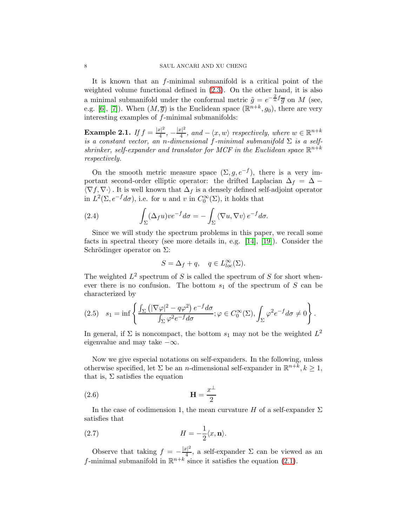It is known that an f-minimal submanifold is a critical point of the weighted volume functional defined in [\(2.3\)](#page-6-1). On the other hand, it is also a minimal submanifold under the conformal metric  $\tilde{g} = e^{-\frac{2}{n}f}\overline{g}$  on M (see, e.g. [\[6\]](#page-27-13), [\[7\]](#page-27-14)). When  $(M,\overline{g})$  is the Euclidean space  $(\mathbb{R}^{n+k},g_0)$ , there are very interesting examples of f-minimal submanifolds:

**Example 2.1.** If  $f = \frac{|x|^2}{4}$  $\frac{|x|^2}{4}, -\frac{|x|^2}{4}$  $\frac{|x|^2}{4}$ , and  $-\langle x, w \rangle$  respectively, where  $w \in \mathbb{R}^{n+k}$ is a constant vector, an n-dimensional f-minimal submanifold  $\Sigma$  is a selfshrinker, self-expander and translator for MCF in the Euclidean space  $\mathbb{R}^{n+k}$ respectively.

On the smooth metric measure space  $(\Sigma, g, e^{-f})$ , there is a very important second-order elliptic operator: the drifted Laplacian  $\Delta_f = \Delta \langle \nabla f, \nabla \cdot \rangle$ . It is well known that  $\Delta_f$  is a densely defined self-adjoint operator in  $L^2(\Sigma, e^{-f}d\sigma)$ , i.e. for u and v in  $C_0^{\infty}(\Sigma)$ , it holds that

(2.4) 
$$
\int_{\Sigma} (\Delta_f u) v e^{-f} d\sigma = - \int_{\Sigma} \langle \nabla u, \nabla v \rangle e^{-f} d\sigma.
$$

Since we will study the spectrum problems in this paper, we recall some facts in spectral theory (see more details in, e.g. [\[14\]](#page-27-15), [\[19\]](#page-27-16)). Consider the Schrödinger operator on  $\Sigma$ :

$$
S = \Delta_f + q, \quad q \in L^{\infty}_{loc}(\Sigma).
$$

The weighted  $L^2$  spectrum of S is called the spectrum of S for short whenever there is no confusion. The bottom  $s_1$  of the spectrum of S can be characterized by

$$
(2.5) \quad s_1 = \inf \left\{ \frac{\int_{\Sigma} \left( |\nabla \varphi|^2 - q \varphi^2 \right) e^{-f} d\sigma}{\int_{\Sigma} \varphi^2 e^{-f} d\sigma}; \varphi \in C_0^{\infty}(\Sigma), \int_{\Sigma} \varphi^2 e^{-f} d\sigma \neq 0 \right\}.
$$

In general, if  $\Sigma$  is noncompact, the bottom  $s_1$  may not be the weighted  $L^2$ eigenvalue and may take  $-\infty$ .

Now we give especial notations on self-expanders. In the following, unless otherwise specified, let  $\Sigma$  be an *n*-dimensional self-expander in  $\mathbb{R}^{n+\overline{k}}$ ,  $k \geq 1$ , that is,  $\Sigma$  satisfies the equation

$$
\mathbf{H} = \frac{x^{\perp}}{2}
$$

In the case of codimension 1, the mean curvature H of a self-expander  $\Sigma$ satisfies that

(2.7) 
$$
H = -\frac{1}{2}\langle x, \mathbf{n}\rangle.
$$

Observe that taking  $f = -\frac{|x|^2}{4}$  $\frac{c_1}{4}$ , a self-expander  $\Sigma$  can be viewed as an f-minimal submanifold in  $\mathbb{R}^{n+k}$  since it satisfies the equation [\(2.1\)](#page-6-2).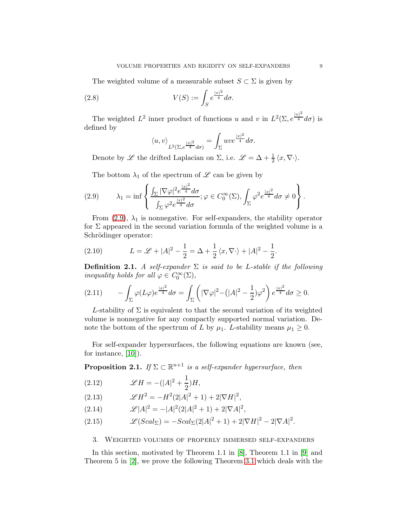The weighted volume of a measurable subset  $S \subset \Sigma$  is given by

(2.8) 
$$
V(S) := \int_{S} e^{\frac{|x|^2}{4}} d\sigma.
$$

The weighted  $L^2$  inner product of functions u and v in  $L^2(\Sigma, e^{\frac{|x|^2}{4}}d\sigma)$  is defined by

$$
\langle u,v\rangle_{L^2(\Sigma,e^{\frac{|x|^2}{4}}d\sigma)}=\int_\Sigma u v e^{\frac{|x|^2}{4}}d\sigma.
$$

Denote by  $\mathscr L$  the drifted Laplacian on  $\Sigma$ , i.e.  $\mathscr L = \Delta + \frac{1}{2} \langle x, \nabla \cdot \rangle$ .

The bottom  $\lambda_1$  of the spectrum of  $\mathscr L$  can be given by

<span id="page-8-1"></span>(2.9) 
$$
\lambda_1 = \inf \left\{ \frac{\int_{\Sigma} |\nabla \varphi|^2 e^{\frac{|x|^2}{4}} d\sigma}{\int_{\Sigma} \varphi^2 e^{\frac{|x|^2}{4}} d\sigma}; \varphi \in C_0^{\infty}(\Sigma), \int_{\Sigma} \varphi^2 e^{\frac{|x|^2}{4}} d\sigma \neq 0 \right\}.
$$

From [\(2.9\)](#page-8-1),  $\lambda_1$  is nonnegative. For self-expanders, the stability operator for  $\Sigma$  appeared in the second variation formula of the weighted volume is a Schrödinger operator:

(2.10) 
$$
L = \mathcal{L} + |A|^2 - \frac{1}{2} = \Delta + \frac{1}{2} \langle x, \nabla \cdot \rangle + |A|^2 - \frac{1}{2}.
$$

**Definition 2.1.** A self-expander  $\Sigma$  is said to be L-stable if the following inequality holds for all  $\varphi \in C_0^{\infty}(\Sigma)$ ,

$$
(2.11) \qquad -\int_{\Sigma} \varphi(L\varphi) e^{\frac{|x|^2}{4}} d\sigma = \int_{\Sigma} \left( |\nabla \varphi|^2 - (|A|^2 - \frac{1}{2}) \varphi^2 \right) e^{\frac{|x|^2}{4}} d\sigma \ge 0.
$$

L-stability of  $\Sigma$  is equivalent to that the second variation of its weighted volume is nonnegative for any compactly supported normal variation. Denote the bottom of the spectrum of L by  $\mu_1$ . L-stability means  $\mu_1 \geq 0$ .

For self-expander hypersurfaces, the following equations are known (see, for instance, [\[10\]](#page-27-8)).

**Proposition 2.1.** If  $\Sigma \subset \mathbb{R}^{n+1}$  is a self-expander hypersurface, then

<span id="page-8-2"></span>(2.12) 
$$
\mathscr{L}H = -(|A|^2 + \frac{1}{2})H,
$$

(2.13) 
$$
\mathscr{L}H^2 = -H^2(2|A|^2+1) + 2|\nabla H|^2,
$$

<span id="page-8-4"></span>(2.14) 
$$
\mathscr{L}|A|^2 = -|A|^2(2|A|^2+1) + 2|\nabla A|^2,
$$

<span id="page-8-3"></span>(2.15) 
$$
\mathscr{L}(Scal_{\Sigma}) = -Scal_{\Sigma}(2|A|^{2}+1) + 2|\nabla H|^{2} - 2|\nabla A|^{2}.
$$

### <span id="page-8-0"></span>3. Weighted volumes of properly immersed self-expanders

In this section, motivated by Theorem 1.1 in [\[8\]](#page-27-17), Theorem 1.1 in [\[9\]](#page-27-18) and Theorem 5 in [\[2\]](#page-27-9), we prove the following Theorem [3.1](#page-9-0) which deals with the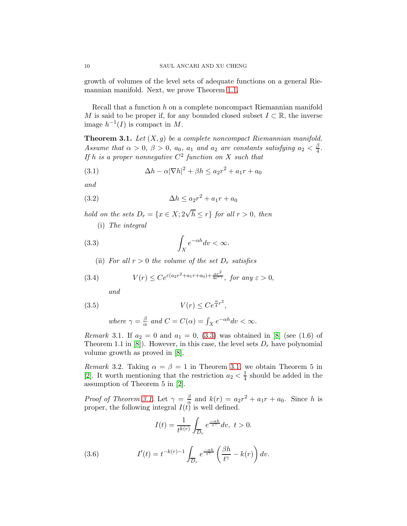growth of volumes of the level sets of adequate functions on a general Riemannian manifold. Next, we prove Theorem [1.1.](#page-1-0)

Recall that a function h on a complete noncompact Riemannian manifold M is said to be proper if, for any bounded closed subset  $I \subset \mathbb{R}$ , the inverse image  $h^{-1}(I)$  is compact in M.

<span id="page-9-0"></span>**Theorem 3.1.** Let  $(X, g)$  be a complete noncompact Riemannian manifold. Assume that  $\alpha > 0$ ,  $\beta > 0$ ,  $a_0$ ,  $a_1$  and  $a_2$  are constants satisfying  $a_2 < \frac{\beta}{4}$  $\frac{p}{4}$ . If h is a proper nonnegative  $C^2$  function on X such that

(3.1) 
$$
\Delta h - \alpha |\nabla h|^2 + \beta h \le a_2 r^2 + a_1 r + a_0
$$

and

$$
(3.2)\qquad \Delta h \le a_2 r^2 + a_1 r + a_0
$$

hold on the sets  $D_r = \{x \in X; 2\sqrt{h} \le r\}$  for all  $r > 0$ , then

(i) The integral

<span id="page-9-1"></span>
$$
\int_X e^{-\alpha h} dv < \infty.
$$

(ii) For all  $r > 0$  the volume of the set  $D_r$  satisfies

(3.4) 
$$
V(r) \le Ce^{\varepsilon (a_2 r^2 + a_1 r + a_0) + \frac{\alpha r^2}{4e^{\varepsilon \gamma}}}, \text{ for any } \varepsilon > 0,
$$

and

$$
(3.5) \t\t V(r) \le Ce^{\frac{\alpha}{4}r^2},
$$

where 
$$
\gamma = \frac{\beta}{\alpha}
$$
 and  $C = C(\alpha) = \int_X e^{-\alpha h} dv < \infty$ .

*Remark* 3.1. If  $a_2 = 0$  and  $a_1 = 0$ , [\(3.3\)](#page-9-1) was obtained in [\[8\]](#page-27-17) (see (1.6) of Theorem 1.1 in [\[8\]](#page-27-17)). However, in this case, the level sets  $D<sub>r</sub>$  have polynomial volume growth as proved in [\[8\]](#page-27-17).

Remark 3.2. Taking  $\alpha = \beta = 1$  in Theorem [3.1,](#page-9-0) we obtain Theorem 5 in [\[2\]](#page-27-9). It worth mentioning that the restriction  $a_2 < \frac{1}{4}$  $\frac{1}{4}$  should be added in the assumption of Theorem 5 in [\[2\]](#page-27-9).

*Proof of Theorem [3.1.](#page-9-0)* Let  $\gamma = \frac{\beta}{\alpha}$  $\frac{\beta}{\alpha}$  and  $k(r) = a_2r^2 + a_1r + a_0$ . Since h is proper, the following integral  $I(t)$  is well defined.

$$
I(t) = \frac{1}{t^{k(r)}} \int_{\overline{D}_r} e^{\frac{-\alpha h}{t^{\gamma}}} dv, \ t > 0.
$$

<span id="page-9-2"></span>(3.6) 
$$
I'(t) = t^{-k(r)-1} \int_{\overline{D}_r} e^{\frac{-\alpha h}{t^{\gamma}}} \left( \frac{\beta h}{t^{\gamma}} - k(r) \right) dv.
$$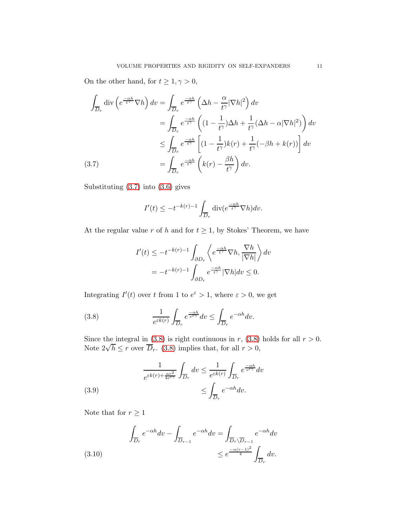On the other hand, for  $t\geq 1, \gamma>0,$ 

$$
\int_{\overline{D}_r} \operatorname{div} \left( e^{\frac{-\alpha h}{t^{\gamma}}} \nabla h \right) dv = \int_{\overline{D}_r} e^{\frac{-\alpha h}{t^{\gamma}}} \left( \Delta h - \frac{\alpha}{t^{\gamma}} |\nabla h|^2 \right) dv
$$
\n
$$
= \int_{\overline{D}_r} e^{\frac{-\alpha h}{t^{\gamma}}} \left( (1 - \frac{1}{t^{\gamma}}) \Delta h + \frac{1}{t^{\gamma}} (\Delta h - \alpha |\nabla h|^2) \right) dv
$$
\n
$$
\leq \int_{\overline{D}_r} e^{\frac{-\alpha h}{t^{\gamma}}} \left[ (1 - \frac{1}{t^{\gamma}}) k(r) + \frac{1}{t^{\gamma}} (-\beta h + k(r)) \right] dv
$$
\n(3.7)\n
$$
= \int_{\overline{D}_r} e^{\frac{-\alpha h}{t^{\gamma}}} \left( k(r) - \frac{\beta h}{t^{\gamma}} \right) dv.
$$

<span id="page-10-0"></span>Substituting [\(3.7\)](#page-10-0) into [\(3.6\)](#page-9-2) gives

$$
I'(t) \le -t^{-k(r)-1} \int_{\overline{D}_r} \operatorname{div}(e^{\frac{-\alpha h}{t^{\gamma}}} \nabla h) dv.
$$

At the regular value r of h and for  $t \geq 1$ , by Stokes' Theorem, we have

$$
I'(t) \le -t^{-k(r)-1} \int_{\partial D_r} \left\langle e^{\frac{-\alpha h}{t^{\gamma}}} \nabla h, \frac{\nabla h}{|\nabla h|} \right\rangle dv
$$
  
=  $-t^{-k(r)-1} \int_{\partial D_r} e^{\frac{-\alpha h}{t^{\gamma}}} |\nabla h| dv \le 0.$ 

Integrating  $I'(t)$  over t from 1 to  $e^{\varepsilon} > 1$ , where  $\varepsilon > 0$ , we get

<span id="page-10-1"></span>(3.8) 
$$
\frac{1}{e^{\varepsilon k(r)}} \int_{\overline{D}_r} e^{\frac{-\alpha h}{e^{\varepsilon \gamma}}} dv \leq \int_{\overline{D}_r} e^{-\alpha h} dv.
$$

Since the integral in [\(3.8\)](#page-10-1) is right continuous in r, (3.8) holds for all  $r > 0$ . Note  $2\sqrt{h} \leq r$  over  $\overline{D}_r$ . [\(3.8\)](#page-10-1) implies that, for all  $r > 0$ ,

<span id="page-10-2"></span>(3.9) 
$$
\frac{1}{e^{\varepsilon k(r) + \frac{\alpha r^2}{4e^{\varepsilon \gamma}}} \int_{\overline{D}_r} dv \leq \frac{1}{e^{\varepsilon k(r)}} \int_{\overline{D}_r} e^{\frac{-\alpha h}{e^{\varepsilon \gamma}}} dv
$$

$$
\leq \int_{\overline{D}_r} e^{-\alpha h} dv.
$$

Note that for  $r\geq 1$ 

<span id="page-10-3"></span>(3.10) 
$$
\int_{\overline{D}_r} e^{-\alpha h} dv - \int_{\overline{D}_{r-1}} e^{-\alpha h} dv = \int_{\overline{D}_r \setminus \overline{D}_{r-1}} e^{-\alpha h} dv
$$

$$
\leq e^{\frac{-\alpha(r-1)^2}{4}} \int_{\overline{D}_r} dv.
$$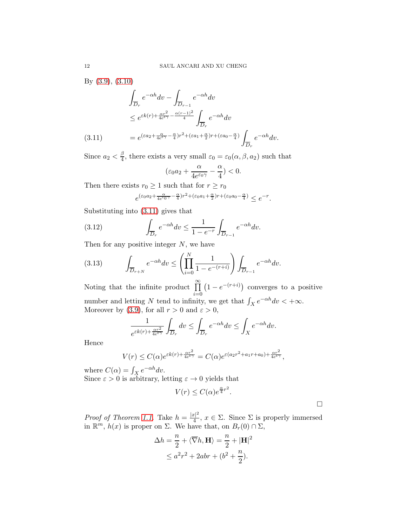By [\(3.9\)](#page-10-2), [\(3.10\)](#page-10-3)

$$
\int_{\overline{D}_r} e^{-\alpha h} dv - \int_{\overline{D}_{r-1}} e^{-\alpha h} dv
$$
\n
$$
\leq e^{\varepsilon k(r) + \frac{\alpha r^2}{4e^{\varepsilon \gamma}} - \frac{\alpha (r-1)^2}{4}} \int_{\overline{D}_r} e^{-\alpha h} dv
$$
\n(3.11)\n
$$
= e^{(\varepsilon a_2 + \frac{\alpha}{4e^{\varepsilon \gamma}} - \frac{\alpha}{4})r^2 + (\varepsilon a_1 + \frac{\alpha}{2})r + (\varepsilon a_0 - \frac{\alpha}{4})} \int_{\overline{D}_r} e^{-\alpha h} dv.
$$

<span id="page-11-0"></span>Since  $a_2 < \frac{\beta}{4}$  $\frac{\beta}{4}$ , there exists a very small  $\varepsilon_0 = \varepsilon_0(\alpha, \beta, a_2)$  such that

$$
(\varepsilon_0 a_2 + \frac{\alpha}{4 e^{\varepsilon_0 \gamma}} - \frac{\alpha}{4}) < 0.
$$

Then there exists  $r_0 \geq 1$  such that for  $r \geq r_0$ 

$$
e^{(\varepsilon_0a_2+\frac{\alpha}{4e^{\varepsilon_0\gamma}-\frac{\alpha}{4})r^2+(\varepsilon_0a_1+\frac{\alpha}{2})r+(\varepsilon_0a_0-\frac{\alpha}{4})}}\leq e^{-r}.
$$

Substituting into [\(3.11\)](#page-11-0) gives that

(3.12) 
$$
\int_{\overline{D}_r} e^{-\alpha h} dv \le \frac{1}{1 - e^{-r}} \int_{\overline{D}_{r-1}} e^{-\alpha h} dv.
$$

Then for any positive integer  $N$ , we have

$$
(3.13) \qquad \int_{\overline{D}_{r+N}} e^{-\alpha h} dv \le \left(\prod_{i=0}^N \frac{1}{1 - e^{-(r+i)}}\right) \int_{\overline{D}_{r-1}} e^{-\alpha h} dv.
$$

Noting that the infinite product  $\prod^{\infty}$  $i=0$  $(1 - e^{-(r+i)})$  converges to a positive number and letting N tend to infinity, we get that  $\int_X e^{-\alpha h} dv < +\infty$ . Moreover by [\(3.9\)](#page-10-2), for all  $r > 0$  and  $\varepsilon > 0$ ,

$$
\frac{1}{e^{\varepsilon k(r) + \frac{\alpha r^2}{4e^{\varepsilon \gamma}}}} \int_{\overline{D}_r} dv \le \int_{\overline{D}_r} e^{-\alpha h} dv \le \int_X e^{-\alpha h} dv.
$$

Hence

$$
V(r) \leq C(\alpha) e^{\varepsilon k(r) + \frac{\alpha r^2}{4e^{\varepsilon \gamma}}} = C(\alpha) e^{\varepsilon (a_2 r^2 + a_1 r + a_0) + \frac{\alpha r^2}{4e^{\varepsilon \gamma}}},
$$

where  $C(\alpha) = \int_X e^{-\alpha h} dv$ . Since  $\varepsilon > 0$  is arbitrary, letting  $\varepsilon \to 0$  yields that

$$
V(r) \le C(\alpha) e^{\frac{\alpha}{4}r^2}.
$$

 $\Box$ 

*Proof of Theorem [1.1.](#page-1-0)* Take  $h = \frac{|x|^2}{4}$  $\frac{y_1}{4}$ ,  $x \in \Sigma$ . Since  $\Sigma$  is properly immersed in  $\mathbb{R}^m$ ,  $h(x)$  is proper on  $\Sigma$ . We have that, on  $B_r(0) \cap \Sigma$ ,

$$
\Delta h = \frac{n}{2} + \langle \overline{\nabla} h, \mathbf{H} \rangle = \frac{n}{2} + |\mathbf{H}|^2
$$
  

$$
\leq a^2 r^2 + 2abr + (b^2 + \frac{n}{2}).
$$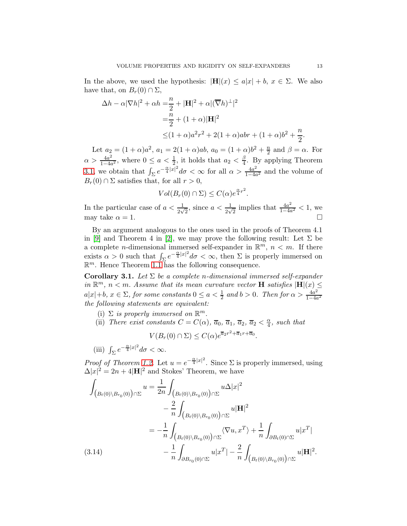In the above, we used the hypothesis:  $|\mathbf{H}|(x) \leq a|x| + b, x \in \Sigma$ . We also have that, on  $B_r(0) \cap \Sigma$ ,

$$
\Delta h - \alpha |\nabla h|^2 + \alpha h = \frac{n}{2} + |\mathbf{H}|^2 + \alpha |(\overline{\nabla} h)^{\perp}|^2
$$
  
=  $\frac{n}{2} + (1 + \alpha)|\mathbf{H}|^2$   

$$
\leq (1 + \alpha)a^2 r^2 + 2(1 + \alpha)abr + (1 + \alpha)b^2 + \frac{n}{2}.
$$

Let  $a_2 = (1 + \alpha)a^2$ ,  $a_1 = 2(1 + \alpha)ab$ ,  $a_0 = (1 + \alpha)b^2 + \frac{n}{2}$  and  $\beta = \alpha$ . For Let  $u_2 = (1 + \alpha)a$ ,  $u_1 = 2(1 + \alpha)ab$ ,  $u_0 = (1 + \alpha)a + 2$ <br>  $\alpha > \frac{4a^2}{1-4a^2}$ , where  $0 \le a < \frac{1}{2}$ , it holds that  $a_2 < \frac{\beta}{4}$ . By ap  $\frac{4a^2}{1-4a^2}$ , where  $0 \le a < \frac{1}{2}$ , it holds that  $a_2 < \frac{\beta}{4}$  $\frac{\beta}{4}$ . By applying Theorem [3.1,](#page-9-0) we obtain that  $\int_{\Sigma} e^{-\frac{\alpha}{4}|x|^2} d\sigma < \infty$  for all  $\alpha > \frac{4a^2}{1-4a}$  $\frac{4a^2}{1-4a^2}$  and the volume of  $B_r(0) \cap \Sigma$  satisfies that, for all  $r > 0$ ,

$$
Vol(B_r(0) \cap \Sigma) \leq C(\alpha) e^{\frac{\alpha}{4}r^2}.
$$

In the particular case of  $a < \frac{1}{2\sqrt{2}}$ , since  $a < \frac{1}{2\sqrt{2}}$  implies that  $\frac{4a^2}{1-4a}$  $\frac{4a^2}{1-4a^2}$  < 1, we may take  $\alpha = 1$ .

By an argument analogous to the ones used in the proofs of Theorem 4.1 in [\[9\]](#page-27-18) and Theorem 4 in [\[2\]](#page-27-9), we may prove the following result: Let  $\Sigma$  be a complete *n*-dimensional immersed self-expander in  $\mathbb{R}^m$ ,  $n < m$ . If there exists  $\alpha > 0$  such that  $\int_{\Sigma} e^{-\frac{\alpha}{4}|x|^2} d\sigma < \infty$ , then  $\Sigma$  is properly immersed on  $\mathbb{R}^m$ . Hence Theorem [1.1](#page-1-0) has the following consequence.

Corollary 3.1. Let  $\Sigma$  be a complete n-dimensional immersed self-expander in  $\mathbb{R}^m$ ,  $n < m$ . Assume that its mean curvature vector **H** satisfies  $|\mathbf{H}|(x) \leq$  $a|x|+b, x \in \Sigma$ , for some constants  $0 \le a < \frac{1}{2}$  and  $b > 0$ . Then for  $\alpha > \frac{4a^2}{1-4a}$  $1-4a^2$ the following statements are equivalent:

- (i)  $\Sigma$  is properly immersed on  $\mathbb{R}^m$ .
- (ii) There exist constants  $C = C(\alpha)$ ,  $\overline{a}_0$ ,  $\overline{a}_1$ ,  $\overline{a}_2$ ,  $\overline{a}_2 < \frac{\alpha}{4}$ , such that

 $V(B_r(0) \cap \Sigma) \leq C(\alpha) e^{\overline{a}_2 r^2 + \overline{a}_1 r + \overline{a}_0}.$ 

(iii)  $\int_{\Sigma} e^{-\frac{\alpha}{4}|x|^2} d\sigma < \infty$ .

*Proof of Theorem [1.2.](#page-2-1)* Let  $u = e^{-\frac{\alpha}{4}|x|^2}$ . Since  $\Sigma$  is properly immersed, using  $\Delta |x|^2 = 2n + 4|\mathbf{H}|^2$  and Stokes' Theorem, we have

<span id="page-12-0"></span>
$$
\int_{\left(B_t(0)\setminus B_{r_0}(0)\right)\cap\Sigma} u = \frac{1}{2n} \int_{\left(B_t(0)\setminus B_{r_0}(0)\right)\cap\Sigma} u \Delta |x|^2 \n- \frac{2}{n} \int_{\left(B_t(0)\setminus B_{r_0}(0)\right)\cap\Sigma} u|\mathbf{H}|^2 \n= -\frac{1}{n} \int_{\left(B_t(0)\setminus B_{r_0}(0)\right)\cap\Sigma} \langle \nabla u, x^T \rangle + \frac{1}{n} \int_{\partial B_t(0)\cap\Sigma} u|x^T| \n- \frac{1}{n} \int_{\partial B_{r_0}(0)\cap\Sigma} u|x^T| - \frac{2}{n} \int_{\left(B_t(0)\setminus B_{r_0}(0)\right)\cap\Sigma} u|\mathbf{H}|^2.
$$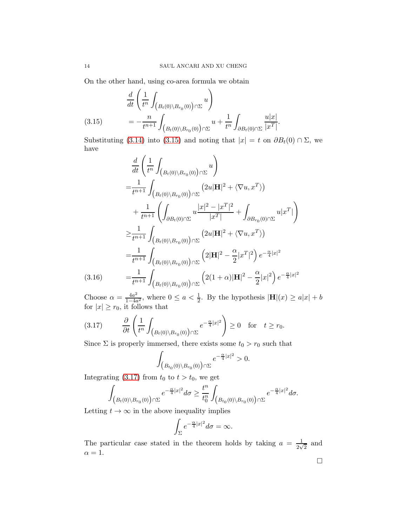On the other hand, using co-area formula we obtain

$$
\frac{d}{dt} \left( \frac{1}{t^n} \int_{\left( B_t(0) \setminus B_{r_0}(0) \right) \cap \Sigma} u \right)
$$
\n
$$
= -\frac{n}{t^{n+1}} \int_{\left( B_t(0) \setminus B_{r_0}(0) \right) \cap \Sigma} u + \frac{1}{t^n} \int_{\partial B_t(0) \cap \Sigma} \frac{u|x|}{|x^T|}.
$$

<span id="page-13-0"></span>Substituting [\(3.14\)](#page-12-0) into [\(3.15\)](#page-13-0) and noting that  $|x| = t$  on  $\partial B_t(0) \cap \Sigma$ , we have

$$
\frac{d}{dt} \left( \frac{1}{t^n} \int_{(B_t(0) \setminus B_{r_0}(0)) \cap \Sigma} u \right)
$$
\n
$$
= \frac{1}{t^{n+1}} \int_{(B_t(0) \setminus B_{r_0}(0)) \cap \Sigma} (2u|\mathbf{H}|^2 + \langle \nabla u, x^T \rangle)
$$
\n
$$
+ \frac{1}{t^{n+1}} \left( \int_{\partial B_t(0) \cap \Sigma} u \frac{|x|^2 - |x^T|^2}{|x^T|} + \int_{\partial B_{r_0}(0) \cap \Sigma} u |x^T| \right)
$$
\n
$$
\geq \frac{1}{t^{n+1}} \int_{(B_t(0) \setminus B_{r_0}(0)) \cap \Sigma} (2u|\mathbf{H}|^2 + \langle \nabla u, x^T \rangle)
$$
\n
$$
= \frac{1}{t^{n+1}} \int_{(B_t(0) \setminus B_{r_0}(0)) \cap \Sigma} (2|\mathbf{H}|^2 - \frac{\alpha}{2} |x^T|^2) e^{-\frac{\alpha}{4} |x|^2}
$$
\n(3.16) 
$$
= \frac{1}{t^{n+1}} \int_{(B_t(0) \setminus B_{r_0}(0)) \cap \Sigma} (2(1+\alpha)|\mathbf{H}|^2 - \frac{\alpha}{2} |x|^2) e^{-\frac{\alpha}{4} |x|^2}
$$

Choose  $\alpha = \frac{4a^2}{1-4a}$  $\frac{4a^2}{1-4a^2}$ , where  $0 \le a < \frac{1}{2}$ . By the hypothesis  $|\mathbf{H}|(x) \ge a|x| + b$ for  $|x| \ge r_0$ , it follows that

<span id="page-13-1"></span>
$$
(3.17) \qquad \frac{\partial}{\partial t} \left( \frac{1}{t^n} \int_{\left( B_t(0) \setminus B_{r_0}(0) \right) \cap \Sigma} e^{-\frac{\alpha}{4}|x|^2} \right) \ge 0 \quad \text{for} \quad t \ge r_0.
$$

Since  $\Sigma$  is properly immersed, there exists some  $t_0 > r_0$  such that

$$
\int_{\left(B_{t_0}(0)\setminus B_{r_0}(0)\right)\cap\Sigma} e^{-\frac{\alpha}{4}|x|^2} > 0.
$$

Integrating [\(3.17\)](#page-13-1) from  $t_0$  to  $t > t_0$ , we get

$$
\int_{\left(B_t(0)\setminus B_{r_0}(0)\right)\cap\Sigma}e^{-\frac{\alpha}{4}|x|^2}d\sigma\geq \frac{t^n}{t_0^n}\int_{\left(B_{t_0}(0)\setminus B_{r_0}(0)\right)\cap\Sigma}e^{-\frac{\alpha}{4}|x|^2}d\sigma.
$$

Letting  $t \to \infty$  in the above inequality implies

$$
\int_{\Sigma} e^{-\frac{\alpha}{4}|x|^2} d\sigma = \infty.
$$

The particular case stated in the theorem holds by taking  $a = \frac{1}{2}$  $\frac{1}{2\sqrt{2}}$  and  $\alpha = 1$ .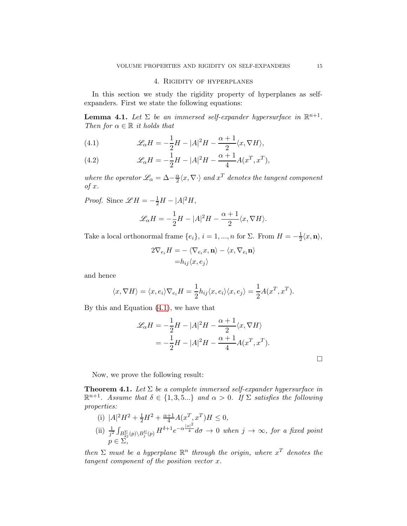## 4. Rigidity of hyperplanes

<span id="page-14-1"></span>In this section we study the rigidity property of hyperplanes as selfexpanders. First we state the following equations:

**Lemma 4.1.** Let  $\Sigma$  be an immersed self-expander hypersurface in  $\mathbb{R}^{n+1}$ . Then for  $\alpha \in \mathbb{R}$  it holds that

<span id="page-14-2"></span>(4.1) 
$$
\mathscr{L}_{\alpha}H = -\frac{1}{2}H - |A|^2H - \frac{\alpha+1}{2}\langle x, \nabla H \rangle,
$$

<span id="page-14-3"></span>(4.2) 
$$
\mathscr{L}_{\alpha}H = -\frac{1}{2}H - |A|^2H - \frac{\alpha+1}{4}A(x^T, x^T),
$$

where the operator  $\mathscr{L}_{\alpha} = \Delta - \frac{\alpha}{2}$  $\frac{\alpha}{2}\langle x,\nabla \cdot \rangle$  and  $x^T$  denotes the tangent component  $of x.$ 

*Proof.* Since  $\mathscr{L}H = -\frac{1}{2}H - |A|^2H$ ,

$$
\mathcal{L}_{\alpha}H = -\frac{1}{2}H - |A|^2H - \frac{\alpha+1}{2}\langle x, \nabla H \rangle.
$$

Take a local orthonormal frame  $\{e_i\}, i = 1, ..., n$  for  $\Sigma$ . From  $H = -\frac{1}{2}\langle x, \mathbf{n} \rangle$ ,

$$
2\nabla_{e_i} H = -\langle \nabla_{e_i} x, \mathbf{n} \rangle - \langle x, \nabla_{e_i} \mathbf{n} \rangle
$$

$$
= h_{ij} \langle x, e_j \rangle
$$

and hence

$$
\langle x, \nabla H \rangle = \langle x, e_i \rangle \nabla_{e_i} H = \frac{1}{2} h_{ij} \langle x, e_i \rangle \langle x, e_j \rangle = \frac{1}{2} A(x^T, x^T).
$$

By this and Equation [\(4.1\)](#page-14-2), we have that

$$
\mathcal{L}_{\alpha}H = -\frac{1}{2}H - |A|^2H - \frac{\alpha+1}{2}\langle x, \nabla H \rangle
$$
  
=  $-\frac{1}{2}H - |A|^2H - \frac{\alpha+1}{4}A(x^T, x^T).$ 

 $\Box$ 

Now, we prove the following result:

<span id="page-14-0"></span>**Theorem 4.1.** Let  $\Sigma$  be a complete immersed self-expander hypersurface in  $\mathbb{R}^{n+1}$ . Assume that  $\delta \in \{1,3,5...\}$  and  $\alpha > 0$ . If  $\Sigma$  satisfies the following properties:

- (i)  $|A|^2H^2 + \frac{1}{2}H^2 + \frac{\alpha+1}{4}A(x^T, x^T)H \leq 0,$  $^{2}H^{2}+\frac{1}{2}H^{2}+\frac{\alpha+1}{4}A(x^{T},x^{T})$
- (ii)  $\frac{1}{j^2} \int_{B_{2j}^{\Sigma}(p) \setminus B_j^{\Sigma}(p)} H^{\delta+1} e^{-\alpha \frac{|x|^2}{4}} d\sigma \to 0$  when  $j \to \infty$ , for a fixed point  $p \in \Sigma$ ,

then  $\Sigma$  must be a hyperplane  $\mathbb{R}^n$  through the origin, where  $x^T$  denotes the tangent component of the position vector x.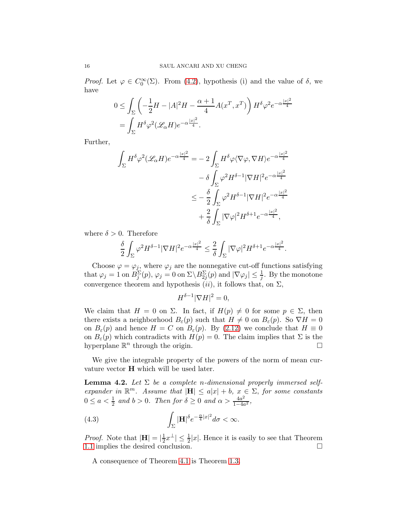*Proof.* Let  $\varphi \in C_0^{\infty}(\Sigma)$ . From [\(4.2\)](#page-14-3), hypothesis (i) and the value of  $\delta$ , we have

$$
\begin{split} 0 & \leq \int_{\Sigma} \left( -\frac{1}{2}H - |A|^2 H - \frac{\alpha + 1}{4} A(x^T, x^T) \right) H^{\delta} \varphi^2 e^{-\alpha \frac{|x|^2}{4}} \\ & = \int_{\Sigma} H^{\delta} \varphi^2 (\mathscr{L}_{\alpha} H) e^{-\alpha \frac{|x|^2}{4}}. \end{split}
$$

Further,

$$
\int_{\Sigma} H^{\delta} \varphi^2 (\mathscr{L}_{\alpha} H) e^{-\alpha \frac{|x|^2}{4}} = -2 \int_{\Sigma} H^{\delta} \varphi \langle \nabla \varphi, \nabla H \rangle e^{-\alpha \frac{|x|^2}{4}}
$$

$$
- \delta \int_{\Sigma} \varphi^2 H^{\delta - 1} |\nabla H|^2 e^{-\alpha \frac{|x|^2}{4}}
$$

$$
\leq -\frac{\delta}{2} \int_{\Sigma} \varphi^2 H^{\delta - 1} |\nabla H|^2 e^{-\alpha \frac{|x|^2}{4}}
$$

$$
+ \frac{2}{\delta} \int_{\Sigma} |\nabla \varphi|^2 H^{\delta + 1} e^{-\alpha \frac{|x|^2}{4}},
$$

where  $\delta > 0$ . Therefore

$$
\frac{\delta}{2}\int_{\Sigma} \varphi^2 H^{\delta-1}|\nabla H|^2 e^{-\alpha\frac{|x|^2}{4}}\leq \frac{2}{\delta}\int_{\Sigma} |\nabla \varphi|^2 H^{\delta+1} e^{-\alpha\frac{|x|^2}{4}}.
$$

Choose  $\varphi = \varphi_j$ , where  $\varphi_j$  are the nonnegative cut-off functions satisfying that  $\varphi_j = 1$  on  $B_j^{\Sigma}(p)$ ,  $\varphi_j = 0$  on  $\Sigma \backslash B_{2j}^{\Sigma}(p)$  and  $|\nabla \varphi_j| \leq \frac{1}{j}$ . By the monotone convergence theorem and hypothesis  $(ii)$ , it follows that, on  $\Sigma$ ,

$$
H^{\delta - 1} |\nabla H|^2 = 0,
$$

We claim that  $H = 0$  on  $\Sigma$ . In fact, if  $H(p) \neq 0$  for some  $p \in \Sigma$ , then there exists a neighborhood  $B_{\varepsilon}(p)$  such that  $H \neq 0$  on  $B_{\varepsilon}(p)$ . So  $\nabla H = 0$ on  $B_{\varepsilon}(p)$  and hence  $H = C$  on  $B_{\varepsilon}(p)$ . By [\(2.12\)](#page-8-2) we conclude that  $H \equiv 0$ on  $B_{\varepsilon}(p)$  which contradicts with  $H(p) = 0$ . The claim implies that  $\Sigma$  is the hyperplane  $\mathbb{R}^n$  through the origin.

We give the integrable property of the powers of the norm of mean curvature vector H which will be used later.

<span id="page-15-0"></span>**Lemma 4.2.** Let  $\Sigma$  be a complete n-dimensional properly immersed selfexpander in  $\mathbb{R}^m$ . Assume that  $|\mathbf{H}| \leq a|x| + b$ ,  $x \in \Sigma$ , for some constants  $0 \le a < \frac{1}{2}$  and  $b > 0$ . Then for  $\delta \ge 0$  and  $\alpha > \frac{4a^2}{1-4a}$  $\frac{4a^2}{1-4a^2}$ 

(4.3) 
$$
\int_{\Sigma} |\mathbf{H}|^{\delta} e^{-\frac{\alpha}{4}|x|^2} d\sigma < \infty.
$$

*Proof.* Note that  $|\mathbf{H}| = \left|\frac{1}{2}\right|$  $\frac{1}{2}x^{\perp} \leq \frac{1}{2}|x|$ . Hence it is easily to see that Theorem [1.1](#page-1-0) implies the desired conclusion.

A consequence of Theorem [4.1](#page-14-0) is Theorem [1.3.](#page-2-0)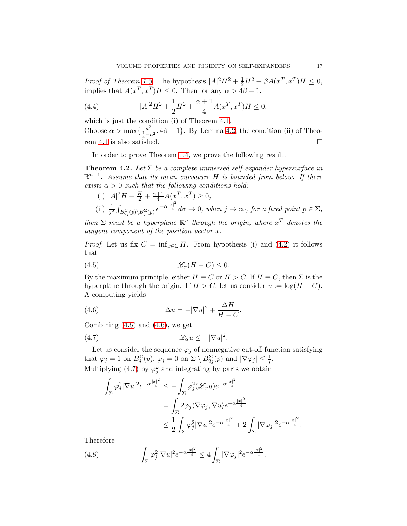Proof of Theorem [1.3.](#page-2-0) The hypothesis  $|A|^2H^2 + \frac{1}{2}H^2 + \beta A(x^T, x^T)H \leq 0$ , implies that  $A(x^T, x^T)H \leq 0$ . Then for any  $\alpha > 4\beta - 1$ ,

(4.4) 
$$
|A|^2 H^2 + \frac{1}{2}H^2 + \frac{\alpha + 1}{4}A(x^T, x^T)H \le 0,
$$

which is just the condition (i) of Theorem [4.1.](#page-14-0) Choose  $\alpha > \max\left\{\frac{a^2}{\frac{1}{4}-a}\right\}$  $\frac{a^2}{4-a^2}$ , 4 $\beta - 1$ . By Lemma [4.2,](#page-15-0) the condition (ii) of Theorem [4.1](#page-14-0) is also satisfied.

In order to prove Theorem [1.4,](#page-2-2) we prove the following result.

<span id="page-16-3"></span>**Theorem 4.2.** Let  $\Sigma$  be a complete immersed self-expander hypersurface in  $\mathbb{R}^{n+1}$ . Assume that its mean curvature H is bounded from below. If there exists  $\alpha > 0$  such that the following conditions hold:

(i) 
$$
|A|^2 H + \frac{H}{2} + \frac{\alpha+1}{4} A(x^T, x^T) \ge 0
$$
,  
\n(ii)  $\frac{1}{j^2} \int_{B_{2j}^{\Sigma}(p) \setminus B_j^{\Sigma}(p)} e^{-\alpha \frac{|x|^2}{4}} d\sigma \to 0$ , when  $j \to \infty$ , for a fixed point  $p \in \Sigma$ ,  
\nthen  $\Sigma$  must be a hyperplane  $\mathbb{R}^n$  through the origin, where  $x^T$  denotes the

tangent component of the position vector  $x$ .

*Proof.* Let us fix  $C = \inf_{x \in \Sigma} H$ . From hypothesis (i) and [\(4.2\)](#page-14-3) it follows that

<span id="page-16-0"></span>(4.5) 
$$
\mathscr{L}_{\alpha}(H-C) \leq 0.
$$

By the maximum principle, either  $H \equiv C$  or  $H > C$ . If  $H \equiv C$ , then  $\Sigma$  is the hyperplane through the origin. If  $H > C$ , let us consider  $u := \log(H - C)$ . A computing yields

<span id="page-16-1"></span>(4.6) 
$$
\Delta u = -|\nabla u|^2 + \frac{\Delta H}{H - C}.
$$

Combining  $(4.5)$  and  $(4.6)$ , we get

<span id="page-16-2"></span>
$$
(4.7) \t\t\t\mathscr{L}_{\alpha}u \le -|\nabla u|^2.
$$

Let us consider the sequence  $\varphi_j$  of nonnegative cut-off function satisfying that  $\varphi_j = 1$  on  $B_j^{\Sigma}(p)$ ,  $\varphi_j = 0$  on  $\Sigma \setminus B_{2j}^{\Sigma}(p)$  and  $|\nabla \varphi_j| \leq \frac{1}{j}$ . Multiplying [\(4.7\)](#page-16-2) by  $\varphi_j^2$  and integrating by parts we obtain

$$
\int_{\Sigma} \varphi_j^2 |\nabla u|^2 e^{-\alpha \frac{|x|^2}{4}} \leq -\int_{\Sigma} \varphi_j^2 (\mathscr{L}_{\alpha} u) e^{-\alpha \frac{|x|^2}{4}}
$$
  

$$
= \int_{\Sigma} 2\varphi_j \langle \nabla \varphi_j, \nabla u \rangle e^{-\alpha \frac{|x|^2}{4}}
$$
  

$$
\leq \frac{1}{2} \int_{\Sigma} \varphi_j^2 |\nabla u|^2 e^{-\alpha \frac{|x|^2}{4}} + 2 \int_{\Sigma} |\nabla \varphi_j|^2 e^{-\alpha \frac{|x|^2}{4}}.
$$

Therefore

(4.8) 
$$
\int_{\Sigma} \varphi_j^2 |\nabla u|^2 e^{-\alpha \frac{|x|^2}{4}} \le 4 \int_{\Sigma} |\nabla \varphi_j|^2 e^{-\alpha \frac{|x|^2}{4}}.
$$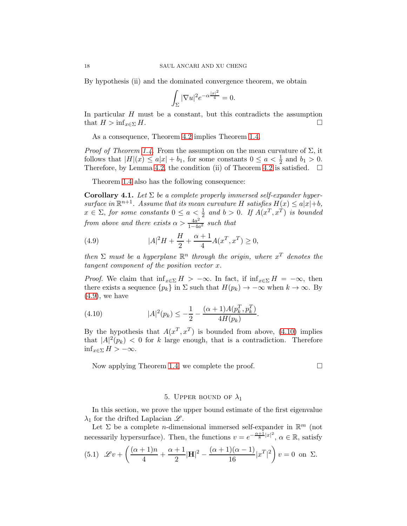By hypothesis (ii) and the dominated convergence theorem, we obtain

$$
\int_{\Sigma} |\nabla u|^2 e^{-\alpha \frac{|x|^2}{4}} = 0.
$$

In particular  $H$  must be a constant, but this contradicts the assumption that  $H > \inf_{x \in \Sigma} H$ .

As a consequence, Theorem [4.2](#page-16-3) implies Theorem [1.4.](#page-2-2)

*Proof of Theorem [1.4.](#page-2-2)* From the assumption on the mean curvature of  $\Sigma$ , it follows that  $|H|(x) \le a|x| + b_1$ , for some constants  $0 \le a < \frac{1}{2}$  and  $b_1 > 0$ . Therefore, by Lemma [4.2,](#page-15-0) the condition (ii) of Theorem [4.2](#page-16-3) is satisfied.  $\Box$ 

Theorem [1.4](#page-2-2) also has the following consequence:

**Corollary 4.1.** Let  $\Sigma$  be a complete properly immersed self-expander hypersurface in  $\mathbb{R}^{n+1}$ . Assume that its mean curvature H satisfies  $H(x) \leq a|x|+b$ ,  $x \in \Sigma$ , for some constants  $0 \le a < \frac{1}{2}$  and  $b > 0$ . If  $A(x^T, x^T)$  is bounded from above and there exists  $\alpha > \frac{4a^2}{1-4a}$  $rac{4a^2}{1-4a^2}$  such that

<span id="page-17-1"></span>(4.9) 
$$
|A|^2 H + \frac{H}{2} + \frac{\alpha + 1}{4} A(x^T, x^T) \ge 0,
$$

then  $\Sigma$  must be a hyperplane  $\mathbb{R}^n$  through the origin, where  $x^T$  denotes the tangent component of the position vector x.

*Proof.* We claim that  $\inf_{x \in \Sigma} H > -\infty$ . In fact, if  $\inf_{x \in \Sigma} H = -\infty$ , then there exists a sequence  $\{p_k\}$  in  $\Sigma$  such that  $H(p_k) \to -\infty$  when  $k \to \infty$ . By  $(4.9)$ , we have

<span id="page-17-2"></span>(4.10) 
$$
|A|^2(p_k) \leq -\frac{1}{2} - \frac{(\alpha+1)A(p_k^T, p_k^T)}{4H(p_k)}.
$$

By the hypothesis that  $A(x^T, x^T)$  is bounded from above, [\(4.10\)](#page-17-2) implies that  $|A|^2(p_k) < 0$  for k large enough, that is a contradiction. Therefore  $\inf_{x \in \Sigma} H > -\infty.$ 

Now applying Theorem [1.4,](#page-2-2) we complete the proof.  $\Box$ 

## 5. UPPER BOUND OF  $\lambda_1$

<span id="page-17-0"></span>In this section, we prove the upper bound estimate of the first eigenvalue  $\lambda_1$  for the drifted Laplacian  $\mathscr{L}$ .

Let  $\Sigma$  be a complete *n*-dimensional immersed self-expander in  $\mathbb{R}^m$  (not necessarily hypersurface). Then, the functions  $v = e^{-\frac{\alpha+1}{8}|x|^2}$ ,  $\alpha \in \mathbb{R}$ , satisfy

<span id="page-17-3"></span>(5.1) 
$$
\mathscr{L}v + \left(\frac{(\alpha+1)n}{4} + \frac{\alpha+1}{2}|\mathbf{H}|^2 - \frac{(\alpha+1)(\alpha-1)}{16}|x^T|^2\right)v = 0 \text{ on } \Sigma.
$$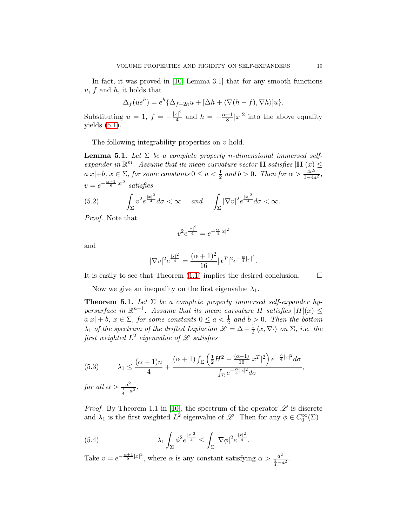In fact, it was proved in [\[10,](#page-27-8) Lemma 3.1] that for any smooth functions  $u, f$  and  $h$ , it holds that

$$
\Delta_f(ue^h) = e^h \{ \Delta_{f-2h}u + [\Delta h + \langle \nabla(h-f), \nabla h \rangle]u \}.
$$

Substituting  $u = 1, f = -\frac{|x|^2}{4}$  $\frac{|x|^2}{4}$  and  $h = -\frac{\alpha+1}{8}|x|^2$  into the above equality yields  $(5.1)$ .

The following integrability properties on  $v$  hold.

<span id="page-18-2"></span>**Lemma 5.1.** Let  $\Sigma$  be a complete properly n-dimensional immersed selfexpander in  $\mathbb{R}^m$ . Assume that its mean curvature vector **H** satisfies  $|\mathbf{H}|(x) \leq$  $a|x|+b, x \in \Sigma$ , for some constants  $0 \le a < \frac{1}{2}$  and  $b > 0$ . Then for  $\alpha > \frac{4a^2}{1-4a}$  $\frac{4a^2}{1-4a^2}$  $v=e^{-\frac{\alpha+1}{8}|x|^2}$  satisfies

(5.2) 
$$
\int_{\Sigma} v^2 e^{\frac{|x|^2}{4}} d\sigma < \infty \quad \text{and} \quad \int_{\Sigma} |\nabla v|^2 e^{\frac{|x|^2}{4}} d\sigma < \infty.
$$

Proof. Note that

$$
v^2 e^{\frac{|x|^2}{4}} = e^{-\frac{\alpha}{4}|x|^2}
$$

and

$$
|\nabla v|^2 e^{\frac{|x|^2}{4}} = \frac{(\alpha+1)^2}{16} |x^T|^2 e^{-\frac{\alpha}{4}|x|^2}.
$$

It is easily to see that Theorem  $(1.1)$  implies the desired conclusion.  $\Box$ 

Now we give an inequality on the first eigenvalue  $\lambda_1$ .

<span id="page-18-0"></span>**Theorem 5.1.** Let  $\Sigma$  be a complete properly immersed self-expander hypersurface in  $\mathbb{R}^{n+1}$ . Assume that its mean curvature H satisfies  $|H|(x) \le$  $a|x| + b$ ,  $x \in \Sigma$ , for some constants  $0 \le a < \frac{1}{2}$  and  $b > 0$ . Then the bottom  $\lambda_1$  of the spectrum of the drifted Laplacian  $\mathscr{L} = \Delta + \frac{1}{2} \langle x, \nabla \cdot \rangle$  on  $\Sigma$ , i.e. the first weighted  $L^2$  eigenvalue of  ${\mathscr L}$  satisfies

(5.3) 
$$
\lambda_1 \leq \frac{(\alpha+1)n}{4} + \frac{(\alpha+1)\int_{\Sigma} \left(\frac{1}{2}H^2 - \frac{(\alpha-1)}{16}|x^T|^2\right)e^{-\frac{\alpha}{4}|x|^2}d\sigma}{\int_{\Sigma} e^{-\frac{\alpha}{4}|x|^2}d\sigma},
$$
  
for all  $\alpha > \frac{a^2}{\frac{1}{4}-a^2}$ .

*Proof.* By Theorem 1.1 in [\[10\]](#page-27-8), the spectrum of the operator  $\mathscr L$  is discrete and  $\lambda_1$  is the first weighted  $L^2$  eigenvalue of  $\mathscr{L}$ . Then for any  $\phi \in C_0^{\infty}(\Sigma)$ 

<span id="page-18-1"></span>(5.4) 
$$
\lambda_1 \int_{\Sigma} \phi^2 e^{\frac{|x|^2}{4}} \leq \int_{\Sigma} |\nabla \phi|^2 e^{\frac{|x|^2}{4}}.
$$

Take  $v = e^{-\frac{\alpha+1}{8}|x|^2}$ , where  $\alpha$  is any constant satisfying  $\alpha > \frac{a^2}{1-\alpha}$  $\frac{a^2}{\frac{1}{4}-a^2}$ .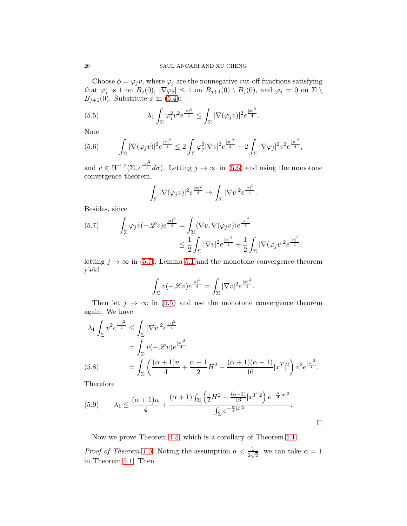Choose  $\phi = \varphi_i v$ , where  $\varphi_i$  are the nonnegative cut-off functions satisfying that  $\varphi_j$  is 1 on  $B_j(0)$ ,  $|\nabla \varphi_j| \leq 1$  on  $B_{j+1}(0) \setminus B_j(0)$ , and  $\varphi_j = 0$  on  $\Sigma \setminus$  $B_{j+1}(0)$ . Substitute  $\phi$  in [\(5.4\)](#page-18-1):

<span id="page-19-2"></span>(5.5) 
$$
\lambda_1 \int_{\Sigma} \varphi_j^2 v^2 e^{\frac{|x|^2}{4}} \leq \int_{\Sigma} |\nabla(\varphi_j v)|^2 e^{\frac{|x|^2}{4}}.
$$

Note

<span id="page-19-0"></span>
$$
(5.6) \qquad \int_{\Sigma} |\nabla(\varphi_j v)|^2 e^{\frac{|x|^2}{4}} \leq 2 \int_{\Sigma} \varphi_j^2 |\nabla v|^2 e^{\frac{|x|^2}{4}} + 2 \int_{\Sigma} |\nabla \varphi_j|^2 v^2 e^{\frac{|x|^2}{4}},
$$

and  $v \in W^{1,2}(\Sigma, e^{\frac{|x|^2}{4}} d\sigma)$ . Letting  $j \to \infty$  in [\(5.6\)](#page-19-0) and using the monotone convergence theorem,

$$
\int_{\Sigma} |\nabla(\varphi_j v)|^2 e^{\frac{|x|^2}{4}} \to \int_{\Sigma} |\nabla v|^2 e^{\frac{|x|^2}{4}}.
$$

Besides, since

<span id="page-19-1"></span>(5.7) 
$$
\int_{\Sigma} \varphi_j v(-\mathscr{L}v) e^{\frac{|x|^2}{4}} = \int_{\Sigma} \langle \nabla v, \nabla(\varphi_j v) \rangle e^{\frac{|x|^2}{4}} \leq \frac{1}{2} \int_{\Sigma} |\nabla v|^2 e^{\frac{|x|^2}{4}} + \frac{1}{2} \int_{\Sigma} |\nabla(\varphi_j v)|^2 e^{\frac{|x|^2}{4}},
$$

letting  $j \to \infty$  in [\(5.7\)](#page-19-1), Lemma [5.1](#page-18-2) and the monotone convergence theorem yield

$$
\int_{\Sigma} v(-\mathscr{L}v)e^{\frac{|x|^2}{4}} = \int_{\Sigma} |\nabla v|^2 e^{\frac{|x|^2}{4}}.
$$

Then let  $j \to \infty$  in [\(5.5\)](#page-19-2) and use the monotone convergence theorem again. We have

$$
\lambda_1 \int_{\Sigma} v^2 e^{\frac{|x|^2}{4}} \le \int_{\Sigma} |\nabla v|^2 e^{\frac{|x|^2}{4}}
$$
  
= 
$$
\int_{\Sigma} v(-\mathscr{L}v)e^{\frac{|x|^2}{4}}
$$
  
(5.8) = 
$$
\int_{\Sigma} \left( \frac{(\alpha+1)n}{4} + \frac{\alpha+1}{2}H^2 - \frac{(\alpha+1)(\alpha-1)}{16}|x^T|^2 \right) v^2 e^{\frac{|x|^2}{4}}.
$$

<span id="page-19-3"></span>Therefore

(5.9) 
$$
\lambda_1 \leq \frac{(\alpha+1)n}{4} + \frac{(\alpha+1)\int_{\Sigma} \left(\frac{1}{2}H^2 - \frac{(\alpha-1)}{16}|x^T|^2\right)e^{-\frac{\alpha}{4}|x|^2}}{\int_{\Sigma} e^{-\frac{\alpha}{4}|x|^2}}.
$$

Now we prove Theorem [1.5,](#page-3-2) which is a corollary of Theorem [5.1.](#page-18-0)

*Proof of Theorem [1.5.](#page-3-2)* Noting the assumption  $a < \frac{1}{2\sqrt{2}}$ , we can take  $\alpha = 1$ in Theorem [5.1.](#page-18-0) Then

 $\Box$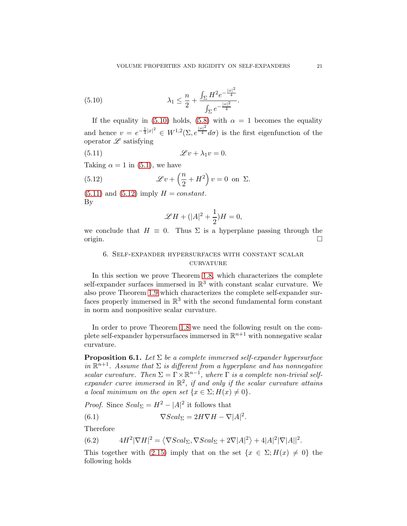<span id="page-20-2"></span>(5.10) 
$$
\lambda_1 \leq \frac{n}{2} + \frac{\int_{\Sigma} H^2 e^{-\frac{|x|^2}{4}}}{\int_{\Sigma} e^{-\frac{|x|^2}{4}}}.
$$

If the equality in [\(5.10\)](#page-20-2) holds, [\(5.8\)](#page-19-3) with  $\alpha = 1$  becomes the equality and hence  $v = e^{-\frac{1}{4}|x|^2} \in W^{1,2}(\Sigma, e^{\frac{|x|^2}{4}} d\sigma)$  is the first eigenfunction of the operator  $\mathscr L$  satisfying

<span id="page-20-3"></span>(5.11) 
$$
\mathscr{L}v + \lambda_1 v = 0.
$$

Taking  $\alpha = 1$  in [\(5.1\)](#page-17-3), we have

<span id="page-20-4"></span>(5.12) 
$$
\mathscr{L}v + \left(\frac{n}{2} + H^2\right)v = 0 \text{ on } \Sigma.
$$

 $(5.11)$  and  $(5.12)$  imply  $H = constant$ . By

$$
\mathscr{L}H + (|A|^2 + \frac{1}{2})H = 0,
$$

<span id="page-20-1"></span>we conclude that  $H \equiv 0$ . Thus  $\Sigma$  is a hyperplane passing through the origin. origin.

## 6. Self-expander hypersurfaces with constant scalar **CURVATURE**

In this section we prove Theorem [1.8,](#page-5-0) which characterizes the complete self-expander surfaces immersed in  $\mathbb{R}^3$  with constant scalar curvature. We also prove Theorem [1.9](#page-5-2) which characterizes the complete self-expander surfaces properly immersed in  $\mathbb{R}^3$  with the second fundamental form constant in norm and nonpositive scalar curvature.

In order to prove Theorem [1.8](#page-5-0) we need the following result on the complete self-expander hypersurfaces immersed in  $\mathbb{R}^{n+1}$  with nonnegative scalar curvature.

<span id="page-20-0"></span>**Proposition 6.1.** Let  $\Sigma$  be a complete immersed self-expander hypersurface in  $\mathbb{R}^{n+1}$ . Assume that  $\Sigma$  is different from a hyperplane and has nonnegative scalar curvature. Then  $\Sigma = \Gamma \times \mathbb{R}^{n-1}$ , where  $\Gamma$  is a complete non-trivial selfexpander curve immersed in  $\mathbb{R}^2$ , if and only if the scalar curvature attains a local minimum on the open set  $\{x \in \Sigma; H(x) \neq 0\}.$ 

*Proof.* Since  $Scal_{\Sigma} = H^2 - |A|^2$  it follows that

(6.1) 
$$
\nabla Scal_{\Sigma} = 2H\nabla H - \nabla |A|^2.
$$

Therefore

(6.2) 
$$
4H^2|\nabla H|^2 = \langle \nabla Scal_{\Sigma}, \nabla Scal_{\Sigma} + 2\nabla |A|^2 \rangle + 4|A|^2|\nabla |A||^2.
$$

This together with [\(2.15\)](#page-8-3) imply that on the set  $\{x \in \Sigma; H(x) \neq 0\}$  the following holds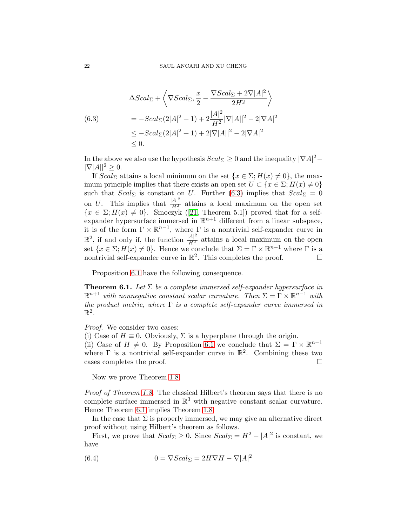<span id="page-21-1"></span>(6.3)  
\n
$$
\Delta Scal_{\Sigma} + \left\langle \nabla Scal_{\Sigma}, \frac{x}{2} - \frac{\nabla Scal_{\Sigma} + 2\nabla |A|^2}{2H^2} \right\rangle
$$
\n
$$
= -Scal_{\Sigma}(2|A|^2 + 1) + 2\frac{|A|^2}{H^2} |\nabla |A||^2 - 2|\nabla A|^2
$$
\n
$$
\leq -Scal_{\Sigma}(2|A|^2 + 1) + 2|\nabla |A||^2 - 2|\nabla A|^2
$$
\n
$$
\leq 0.
$$

In the above we also use the hypothesis  $Scal_{\Sigma} \geq 0$  and the inequality  $|\nabla A|^2$  –  $|\nabla |A||^2 \geq 0.$ 

If  $Scal_{\Sigma}$  attains a local minimum on the set  $\{x \in \Sigma; H(x) \neq 0\}$ , the maximum principle implies that there exists an open set  $U \subset \{x \in \Sigma; H(x) \neq 0\}$ such that  $Scal_{\Sigma}$  is constant on U. Further [\(6.3\)](#page-21-1) implies that  $Scal_{\Sigma} = 0$ on U. This implies that  $\frac{|A|^2}{H^2}$  attains a local maximum on the open set  ${x \in \Sigma; H(x) \neq 0}$  ${x \in \Sigma; H(x) \neq 0}$  ${x \in \Sigma; H(x) \neq 0}$ . Smoczyk ([\[21,](#page-28-0) Theorem 5.1]) proved that for a selfexpander hypersurface immersed in  $\mathbb{R}^{n+1}$  different from a linear subspace, it is of the form  $\Gamma \times \mathbb{R}^{n-1}$ , where  $\Gamma$  is a nontrivial self-expander curve in  $\mathbb{R}^2$ , if and only if, the function  $\frac{|A|^2}{H^2}$  attains a local maximum on the open set  $\{x \in \Sigma; H(x) \neq 0\}$ . Hence we conclude that  $\Sigma = \Gamma \times \mathbb{R}^{n-1}$  where  $\Gamma$  is a nontrivial self-expander curve in  $\mathbb{R}^2$ . This completes the proof.

Proposition [6.1](#page-20-0) have the following consequence.

<span id="page-21-0"></span>**Theorem 6.1.** Let  $\Sigma$  be a complete immersed self-expander hypersurface in  $\mathbb{R}^{n+1}$  with nonnegative constant scalar curvature. Then  $\Sigma = \Gamma \times \mathbb{R}^{n-1}$  with the product metric, where  $\Gamma$  is a complete self-expander curve immersed in  $\mathbb{R}^2$ .

Proof. We consider two cases:

(i) Case of  $H \equiv 0$ . Obviously,  $\Sigma$  is a hyperplane through the origin. (ii) Case of  $H \neq 0$ . By Proposition [6.1](#page-20-0) we conclude that  $\Sigma = \Gamma \times \mathbb{R}^{n-1}$ where  $\Gamma$  is a nontrivial self-expander curve in  $\mathbb{R}^2$ . Combining these two cases completes the proof.  $\Box$ 

Now we prove Theorem [1.8.](#page-5-0)

Proof of Theorem [1.8.](#page-5-0) The classical Hilbert's theorem says that there is no complete surface immersed in  $\mathbb{R}^3$  with negative constant scalar curvature. Hence Theorem [6.1](#page-21-0) implies Theorem [1.8.](#page-5-0)

In the case that  $\Sigma$  is properly immersed, we may give an alternative direct proof without using Hilbert's theorem as follows.

First, we prove that  $Scal_{\Sigma} \geq 0$ . Since  $Scal_{\Sigma} = H^2 - |A|^2$  is constant, we have

<span id="page-21-2"></span>(6.4) 
$$
0 = \nabla Scal_{\Sigma} = 2H\nabla H - \nabla |A|^2
$$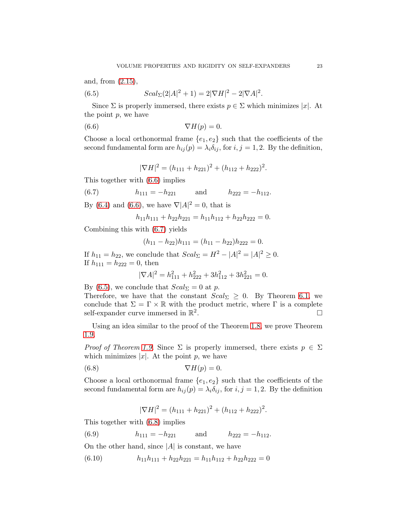and, from [\(2.15\)](#page-8-3),

<span id="page-22-2"></span>(6.5) 
$$
Scal_{\Sigma}(2|A|^{2}+1) = 2|\nabla H|^{2} - 2|\nabla A|^{2}.
$$

Since  $\Sigma$  is properly immersed, there exists  $p \in \Sigma$  which minimizes |x|. At the point  $p$ , we have

<span id="page-22-0"></span>
$$
(6.6) \t\t \nabla H(p) = 0.
$$

Choose a local orthonormal frame  ${e_1, e_2}$  such that the coefficients of the second fundamental form are  $h_{ij}(p) = \lambda_i \delta_{ij}$ , for  $i, j = 1, 2$ . By the definition,

$$
|\nabla H|^2 = (h_{111} + h_{221})^2 + (h_{112} + h_{222})^2.
$$

This together with [\(6.6\)](#page-22-0) implies

<span id="page-22-1"></span>(6.7)  $h_{111} = -h_{221}$  and  $h_{222} = -h_{112}$ .

By [\(6.4\)](#page-21-2) and [\(6.6\)](#page-22-0), we have  $\nabla |A|^2 = 0$ , that is

$$
h_{11}h_{111} + h_{22}h_{221} = h_{11}h_{112} + h_{22}h_{222} = 0.
$$

Combining this with [\(6.7\)](#page-22-1) yields

$$
(h_{11}-h_{22})h_{111}=(h_{11}-h_{22})h_{222}=0.
$$

If  $h_{11} = h_{22}$ , we conclude that  $Scal_{\Sigma} = H^2 - |A|^2 = |A|^2 \ge 0$ . If  $h_{111} = h_{222} = 0$ , then

$$
|\nabla A|^2 = h_{111}^2 + h_{222}^2 + 3h_{112}^2 + 3h_{221}^2 = 0.
$$

By [\(6.5\)](#page-22-2), we conclude that  $Scal_{\Sigma} = 0$  at p.

Therefore, we have that the constant  $Scal_{\Sigma} \geq 0$ . By Theorem [6.1,](#page-21-0) we conclude that  $\Sigma = \Gamma \times \mathbb{R}$  with the product metric, where  $\Gamma$  is a complete self-expander curve immersed in  $\mathbb{R}^2$ . self-expander curve immersed in  $\mathbb{R}^2$ .

Using an idea similar to the proof of the Theorem [1.8,](#page-5-0) we prove Theorem [1.9.](#page-5-2)

*Proof of Theorem [1.9.](#page-5-2)* Since  $\Sigma$  is properly immersed, there exists  $p \in \Sigma$ which minimizes  $|x|$ . At the point p, we have

<span id="page-22-3"></span>
$$
\nabla H(p) = 0.
$$

Choose a local orthonormal frame  $\{e_1, e_2\}$  such that the coefficients of the second fundamental form are  $h_{ij}(p) = \lambda_i \delta_{ij}$ , for  $i, j = 1, 2$ . By the definition

$$
|\nabla H|^2 = (h_{111} + h_{221})^2 + (h_{112} + h_{222})^2.
$$

This together with [\(6.8\)](#page-22-3) implies

<span id="page-22-5"></span>(6.9)  $h_{111} = -h_{221}$  and  $h_{222} = -h_{112}$ .

On the other hand, since  $|A|$  is constant, we have

<span id="page-22-4"></span>(6.10)  $h_{11}h_{111} + h_{22}h_{221} = h_{11}h_{112} + h_{22}h_{222} = 0$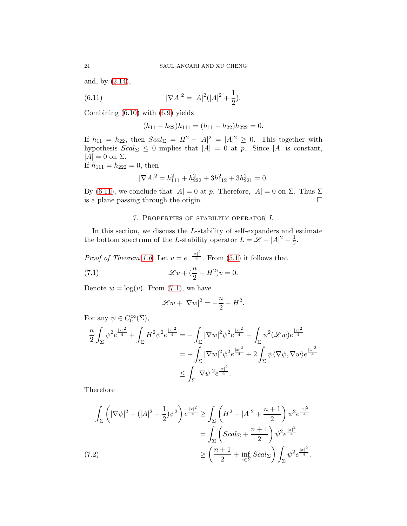and, by [\(2.14\)](#page-8-4),

<span id="page-23-1"></span>(6.11) 
$$
|\nabla A|^2 = |A|^2 (|A|^2 + \frac{1}{2}).
$$

Combining [\(6.10\)](#page-22-4) with [\(6.9\)](#page-22-5) yields

$$
(h_{11} - h_{22})h_{111} = (h_{11} - h_{22})h_{222} = 0.
$$

If  $h_{11} = h_{22}$ , then  $Scal_{\Sigma} = H^2 - |A|^2 = |A|^2 \geq 0$ . This together with hypothesis  $Scal_{\Sigma} \leq 0$  implies that  $|A| = 0$  at p. Since  $|A|$  is constant,  $|A| = 0$  on  $\Sigma$ .

If  $h_{111} = h_{222} = 0$ , then

$$
|\nabla A|^2 = h_{111}^2 + h_{222}^2 + 3h_{112}^2 + 3h_{221}^2 = 0.
$$

<span id="page-23-0"></span>By [\(6.11\)](#page-23-1), we conclude that  $|A| = 0$  at p. Therefore,  $|A| = 0$  on Σ. Thus Σ is a plane passing through the origin. is a plane passing through the origin.

## 7. Properties of stability operator L

In this section, we discuss the L-stability of self-expanders and estimate the bottom spectrum of the L-stability operator  $L = \mathcal{L} + |A|^2 - \frac{1}{2}$  $\frac{1}{2}$ .

*Proof of Theorem [1.6.](#page-3-1)* Let  $v = e^{-\frac{|x|^2}{4}}$ . From [\(5.1\)](#page-17-3) it follows that

<span id="page-23-2"></span>(7.1) 
$$
\mathscr{L}v + \left(\frac{n}{2} + H^2\right)v = 0.
$$

Denote  $w = \log(v)$ . From [\(7.1\)](#page-23-2), we have

$$
\mathscr{L}w + |\nabla w|^2 = -\frac{n}{2} - H^2.
$$

For any  $\psi \in C_0^{\infty}(\Sigma)$ ,

$$
\frac{n}{2} \int_{\Sigma} \psi^2 e^{\frac{|x|^2}{4}} + \int_{\Sigma} H^2 \psi^2 e^{\frac{|x|^2}{4}} = -\int_{\Sigma} |\nabla w|^2 \psi^2 e^{\frac{|x|^2}{4}} - \int_{\Sigma} \psi^2 (\mathscr{L}w) e^{\frac{|x|^2}{4}} \n= -\int_{\Sigma} |\nabla w|^2 \psi^2 e^{\frac{|x|^2}{4}} + 2 \int_{\Sigma} \psi \langle \nabla \psi, \nabla w \rangle e^{\frac{|x|^2}{4}} \n\leq \int_{\Sigma} |\nabla \psi|^2 e^{\frac{|x|^2}{4}}.
$$

Therefore

$$
\int_{\Sigma} \left( |\nabla \psi|^2 - (|A|^2 - \frac{1}{2}) \psi^2 \right) e^{\frac{|x|^2}{4}} \ge \int_{\Sigma} \left( H^2 - |A|^2 + \frac{n+1}{2} \right) \psi^2 e^{\frac{|x|^2}{4}}
$$
\n
$$
= \int_{\Sigma} \left( Scal_{\Sigma} + \frac{n+1}{2} \right) \psi^2 e^{\frac{|x|^2}{4}}
$$
\n(7.2)\n
$$
\ge \left( \frac{n+1}{2} + \inf_{x \in \Sigma} Scal_{\Sigma} \right) \int_{\Sigma} \psi^2 e^{\frac{|x|^2}{4}}.
$$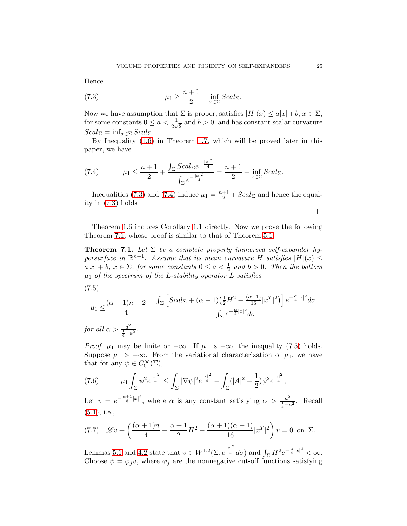Hence

<span id="page-24-1"></span>(7.3) 
$$
\mu_1 \geq \frac{n+1}{2} + \inf_{x \in \Sigma} Scal_{\Sigma}.
$$

Now we have assumption that  $\Sigma$  is proper, satisfies  $|H|(x) \leq a|x|+b, x \in \Sigma$ , for some constants  $0 \le a < \frac{1}{2\sqrt{2}}$  and  $b > 0$ , and has constant scalar curvature  $Scal_{\Sigma} = \inf_{x \in \Sigma} Scal_{\Sigma}.$ 

By Inequality [\(1.6\)](#page-4-0) in Theorem [1.7,](#page-4-1) which will be proved later in this paper, we have

<span id="page-24-2"></span>(7.4) 
$$
\mu_1 \le \frac{n+1}{2} + \frac{\int_{\Sigma} Scal_{\Sigma} e^{-\frac{|x|^2}{4}}}{\int_{\Sigma} e^{-\frac{|x|^2}{4}}} = \frac{n+1}{2} + \inf_{x \in \Sigma} Scal_{\Sigma}.
$$

Inequalities [\(7.3\)](#page-24-1) and [\(7.4\)](#page-24-2) induce  $\mu_1 = \frac{n+1}{2} + Scal_{\Sigma}$  and hence the equality in [\(7.3\)](#page-24-1) holds

 $\Box$ 

Theorem [1.6](#page-3-1) induces Corollary [1.1](#page-4-3) directly. Now we prove the following Theorem [7.1,](#page-24-0) whose proof is similar to that of Theorem [5.1.](#page-18-0)

<span id="page-24-0"></span>**Theorem 7.1.** Let  $\Sigma$  be a complete properly immersed self-expander hypersurface in  $\mathbb{R}^{n+1}$ . Assume that its mean curvature H satisfies  $|H|(x) \le$  $a|x| + b$ ,  $x \in \Sigma$ , for some constants  $0 \le a < \frac{1}{2}$  and  $b > 0$ . Then the bottom  $\mu_1$  of the spectrum of the L-stability operator L satisfies

<span id="page-24-3"></span>(7.5)

$$
\mu_1 \leq \frac{(\alpha+1)n+2}{4} + \frac{\int_{\Sigma} \left[Scal_{\Sigma} + (\alpha-1)\left(\frac{1}{2}H^2 - \frac{(\alpha+1)}{16}|x^T|^2\right)\right] e^{-\frac{\alpha}{4}|x|^2} d\sigma}{\int_{\Sigma} e^{-\frac{\alpha}{4}|x|^2} d\sigma}
$$

for all  $\alpha > \frac{a^2}{1}$  $\frac{a^2}{\frac{1}{4}-a^2}$ .

*Proof.*  $\mu_1$  may be finite or  $-\infty$ . If  $\mu_1$  is  $-\infty$ , the inequality [\(7.5\)](#page-24-3) holds. Suppose  $\mu_1 > -\infty$ . From the variational characterization of  $\mu_1$ , we have that for any  $\psi \in C_0^{\infty}(\Sigma)$ ,

<span id="page-24-4"></span>
$$
(7.6) \qquad \mu_1 \int_{\Sigma} \psi^2 e^{\frac{|x|^2}{4}} \le \int_{\Sigma} |\nabla \psi|^2 e^{\frac{|x|^2}{4}} - \int_{\Sigma} (|A|^2 - \frac{1}{2}) \psi^2 e^{\frac{|x|^2}{4}},
$$

Let  $v = e^{-\frac{\alpha+1}{8}|x|^2}$ , where  $\alpha$  is any constant satisfying  $\alpha > \frac{a^2}{1-\alpha}$  $\frac{a^2}{4-a^2}$ . Recall [\(5.1\)](#page-17-3), i.e.,

<span id="page-24-5"></span>
$$
(7.7) \quad \mathcal{L}v + \left(\frac{(\alpha+1)n}{4} + \frac{\alpha+1}{2}H^2 - \frac{(\alpha+1)(\alpha-1)}{16}|x^T|^2\right)v = 0 \text{ on } \Sigma.
$$

Lemmas [5.1](#page-18-2) and [4.2](#page-15-0) state that  $v \in W^{1,2}(\Sigma, e^{\frac{|x|^2}{4}} d\sigma)$  and  $\int_{\Sigma} H^2 e^{-\frac{\alpha}{4}|x|^2} < \infty$ . Choose  $\psi = \varphi_j v$ , where  $\varphi_j$  are the nonnegative cut-off functions satisfying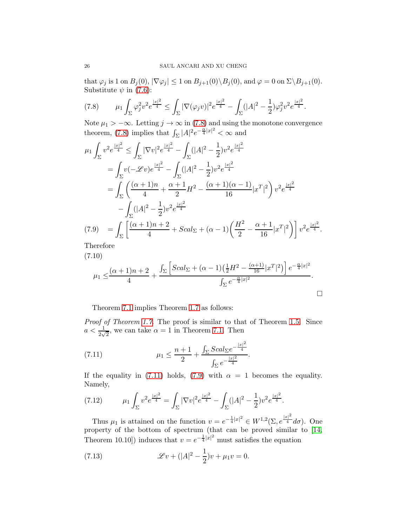that  $\varphi_j$  is 1 on  $B_j(0), |\nabla \varphi_j| \leq 1$  on  $B_{j+1}(0) \setminus B_j(0)$ , and  $\varphi = 0$  on  $\Sigma \setminus B_{j+1}(0)$ . Substitute  $\psi$  in [\(7.6\)](#page-24-4):

<span id="page-25-0"></span>
$$
(7.8) \qquad \mu_1 \int_{\Sigma} \varphi_j^2 v^2 e^{\frac{|x|^2}{4}} \le \int_{\Sigma} |\nabla(\varphi_j v)|^2 e^{\frac{|x|^2}{4}} - \int_{\Sigma} (|A|^2 - \frac{1}{2}) \varphi_j^2 v^2 e^{\frac{|x|^2}{4}}.
$$

Note  $\mu_1 > -\infty$ . Letting  $j \to \infty$  in [\(7.8\)](#page-25-0) and using the monotone convergence theorem, [\(7.8\)](#page-25-0) implies that  $\int_{\Sigma} |A|^2 e^{-\frac{\alpha}{4}|x|^2} < \infty$  and

$$
\mu_1 \int_{\Sigma} v^2 e^{\frac{|x|^2}{4}} \le \int_{\Sigma} |\nabla v|^2 e^{\frac{|x|^2}{4}} - \int_{\Sigma} (|A|^2 - \frac{1}{2}) v^2 e^{\frac{|x|^2}{4}}
$$
  
\n
$$
= \int_{\Sigma} v(-\mathscr{L}v) e^{\frac{|x|^2}{4}} - \int_{\Sigma} (|A|^2 - \frac{1}{2}) v^2 e^{\frac{|x|^2}{4}}
$$
  
\n
$$
= \int_{\Sigma} \left( \frac{(\alpha + 1)n}{4} + \frac{\alpha + 1}{2} H^2 - \frac{(\alpha + 1)(\alpha - 1)}{16} |x^T|^2 \right) v^2 e^{\frac{|x|^2}{4}}
$$
  
\n
$$
- \int_{\Sigma} (|A|^2 - \frac{1}{2}) v^2 e^{\frac{|x|^2}{4}}
$$
  
\n(7.9) 
$$
= \int_{\Sigma} \left[ \frac{(\alpha + 1)n + 2}{4} + Scal_{\Sigma} + (\alpha - 1) \left( \frac{H^2}{2} - \frac{\alpha + 1}{16} |x^T|^2 \right) \right] v^2 e^{\frac{|x|^2}{4}}.
$$

<span id="page-25-2"></span>Therefore

(7.10)

$$
\mu_1 \leq \frac{(\alpha+1)n+2}{4} + \frac{\int_{\Sigma} \left[Scal_{\Sigma} + (\alpha-1)\left(\frac{1}{2}H^2 - \frac{(\alpha+1)}{16}|x^T|^2\right)\right]e^{-\frac{\alpha}{4}|x|^2}}{\int_{\Sigma} e^{-\frac{\alpha}{4}|x|^2}}.
$$

Theorem [7.1](#page-24-0) implies Theorem [1.7](#page-4-1) as follows:

Proof of Theorem [1.7.](#page-4-1) The proof is similar to that of Theorem [1.5.](#page-3-2) Since  $a < \frac{1}{2\sqrt{2}}$ , we can take  $\alpha = 1$  in Theorem [7.1.](#page-24-0) Then

<span id="page-25-1"></span>(7.11) 
$$
\mu_1 \leq \frac{n+1}{2} + \frac{\int_{\Sigma} Scal_{\Sigma}e^{-\frac{|x|^2}{4}}}{\int_{\Sigma} e^{-\frac{|x|^2}{4}}}.
$$

If the equality in [\(7.11\)](#page-25-1) holds, [\(7.9\)](#page-25-2) with  $\alpha = 1$  becomes the equality. Namely,

(7.12) 
$$
\mu_1 \int_{\Sigma} v^2 e^{\frac{|x|^2}{4}} = \int_{\Sigma} |\nabla v|^2 e^{\frac{|x|^2}{4}} - \int_{\Sigma} (|A|^2 - \frac{1}{2}) v^2 e^{\frac{|x|^2}{4}}.
$$

Thus  $\mu_1$  is attained on the function  $v = e^{-\frac{1}{4}|x|^2} \in W^{1,2}(\Sigma, e^{\frac{|x|^2}{4}} d\sigma)$ . One property of the bottom of spectrum (that can be proved similar to [\[14,](#page-27-15) Theorem 10.10]) induces that  $v = e^{-\frac{1}{4}|x|^2}$  must satisfies the equation

<span id="page-25-3"></span>(7.13) 
$$
\mathscr{L}v + (|A|^2 - \frac{1}{2})v + \mu_1 v = 0.
$$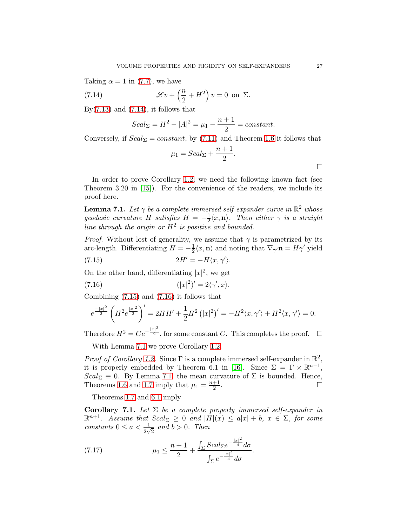Taking  $\alpha = 1$  in [\(7.7\)](#page-24-5), we have

<span id="page-26-0"></span>(7.14) 
$$
\mathscr{L}v + \left(\frac{n}{2} + H^2\right)v = 0 \text{ on } \Sigma.
$$

By $(7.13)$  and  $(7.14)$ , it follows that

$$
Scal_{\Sigma} = H^{2} - |A|^{2} = \mu_{1} - \frac{n+1}{2} = constant.
$$

Conversely, if  $Scal_{\Sigma} = constant$ , by [\(7.11\)](#page-25-1) and Theorem [1.6](#page-3-1) it follows that

$$
\mu_1 = Scal_{\Sigma} + \frac{n+1}{2}.
$$

In order to prove Corollary [1.2,](#page-4-2) we need the following known fact (see Theorem 3.20 in [\[15\]](#page-27-19)). For the convenience of the readers, we include its proof here.

<span id="page-26-3"></span>**Lemma 7.1.** Let  $\gamma$  be a complete immersed self-expander curve in  $\mathbb{R}^2$  whose geodesic curvature H satisfies  $H = -\frac{1}{2}\langle x, \mathbf{n}\rangle$ . Then either  $\gamma$  is a straight line through the origin or  $H^2$  is positive and bounded.

*Proof.* Without lost of generality, we assume that  $\gamma$  is parametrized by its arc-length. Differentiating  $H = -\frac{1}{2}\langle x, \mathbf{n}\rangle$  and noting that  $\nabla_{\gamma'}\mathbf{n} = H\gamma'$  yield (7.15)  $2H' = -H\langle x, \gamma' \rangle$ .

<span id="page-26-1"></span>On the other hand, differentiating  $|x|^2$ , we get

<span id="page-26-2"></span>
$$
(7.16)\qquad \qquad (|x|^2)' = 2\langle \gamma', x \rangle.
$$

Combining [\(7.15\)](#page-26-1) and [\(7.16\)](#page-26-2) it follows that

$$
e^{\frac{-|x|^2}{2}} \left( H^2 e^{\frac{|x|^2}{2}} \right)' = 2HH' + \frac{1}{2} H^2 \left( |x|^2 \right)' = -H^2 \langle x, \gamma \rangle + H^2 \langle x, \gamma \rangle = 0.
$$

Therefore  $H^2 = Ce^{-\frac{|x|^2}{2}}$ , for some constant C. This completes the proof.  $\Box$ 

With Lemma [7.1](#page-26-3) we prove Corollary [1.2.](#page-4-2)

*Proof of Corollary [1.2.](#page-4-2)* Since  $\Gamma$  is a complete immersed self-expander in  $\mathbb{R}^2$ , it is properly embedded by Theorem 6.1 in [\[16\]](#page-27-12). Since  $\Sigma = \Gamma \times \mathbb{R}^{n-1}$ , Scal<sub>Σ</sub>  $\equiv$  0. By Lemma [7.1,](#page-26-3) the mean curvature of  $\Sigma$  is bounded. Hence, Theorems 1.6 and 1.7 imply that  $\mu_1 = \frac{n+1}{2}$ Theorems [1.6](#page-3-1) and [1.7](#page-4-1) imply that  $\mu_1 = \frac{n+1}{2}$ 2 . В последните последните последните последните и последните последните последните последните последните после<br>В последните последните последните последните последните последните последните последните последните последнит

Theorems [1.7](#page-4-1) and [6.1](#page-21-0) imply

**Corollary 7.1.** Let  $\Sigma$  be a complete properly immersed self-expander in  $\mathbb{R}^{n+1}$ . Assume that  $Scal_{\Sigma} \geq 0$  and  $|H|(x) \leq a|x| + b$ ,  $x \in \Sigma$ , for some constants  $0 \le a < \frac{1}{2\sqrt{2}}$  and  $b > 0$ . Then

(7.17) 
$$
\mu_1 \leq \frac{n+1}{2} + \frac{\int_{\Sigma} Scal_{\Sigma} e^{-\frac{|x|^2}{4}} d\sigma}{\int_{\Sigma} e^{-\frac{|x|^2}{4}} d\sigma}.
$$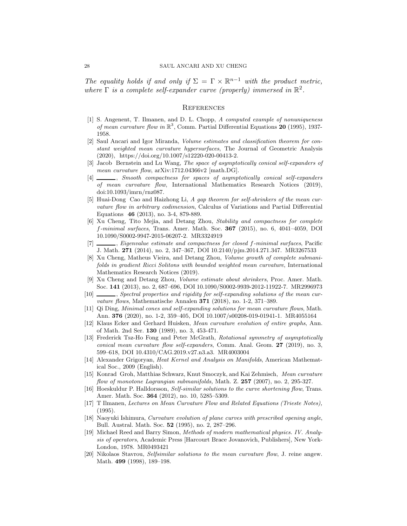The equality holds if and only if  $\Sigma = \Gamma \times \mathbb{R}^{n-1}$  with the product metric, where  $\Gamma$  is a complete self-expander curve (properly) immersed in  $\mathbb{R}^2$ .

### **REFERENCES**

- <span id="page-27-6"></span>[1] S. Angenent, T. Ilmanen, and D. L. Chopp, A computed example of nonuniqueness of mean curvature flow in  $\mathbb{R}^3$ , Comm. Partial Differential Equations 20 (1995), 1937-1958.
- <span id="page-27-9"></span>[2] Saul Ancari and Igor Miranda, Volume estimates and classification theorem for constant weighted mean curvature hypersurfaces, The Journal of Geometric Analysis (2020), https://doi.org/10.1007/s12220-020-00413-2.
- <span id="page-27-4"></span>[3] Jacob Bernstein and Lu Wang, The space of asymptotically conical self-expanders of mean curvature flow,  $arXiv:1712.04366v2$  [math.DG].
- <span id="page-27-5"></span>[4]  $\Box$ , Smooth compactness for spaces of asymptotically conical self-expanders of mean curvature flow, International Mathematics Research Notices (2019), doi:10.1093/imrn/rnz087.
- <span id="page-27-10"></span>[5] Huai-Dong Cao and Haizhong Li, A gap theorem for self-shrinkers of the mean curvature flow in arbitrary codimension, Calculus of Variations and Partial Differential Equations 46 (2013), no. 3-4, 879-889.
- <span id="page-27-13"></span>[6] Xu Cheng, Tito Mejia, and Detang Zhou, Stability and compactness for complete f-minimal surfaces, Trans. Amer. Math. Soc. 367 (2015), no. 6, 4041–4059, DOI 10.1090/S0002-9947-2015-06207-2. MR3324919
- <span id="page-27-14"></span>[7] , Eigenvalue estimate and compactness for closed f-minimal surfaces, Pacific J. Math. 271 (2014), no. 2, 347–367, DOI 10.2140/pjm.2014.271.347. MR3267533
- <span id="page-27-17"></span>[8] Xu Cheng, Matheus Vieira, and Detang Zhou, Volume growth of complete submanifolds in gradient Ricci Solitons with bounded weighted mean curvature, International Mathematics Research Notices (2019).
- <span id="page-27-18"></span>[9] Xu Cheng and Detang Zhou, Volume estimate about shrinkers, Proc. Amer. Math. Soc. 141 (2013), no. 2, 687–696, DOI 10.1090/S0002-9939-2012-11922-7. MR2996973
- <span id="page-27-8"></span>[10] , Spectral properties and rigidity for self-expanding solutions of the mean curvature flows, Mathematische Annalen 371 (2018), no. 1-2, 371–389.
- <span id="page-27-3"></span>[11] Qi Ding, Minimal cones and self-expanding solutions for mean curvature flows, Math. Ann. 376 (2020), no. 1-2, 359–405, DOI 10.1007/s00208-019-01941-1. MR4055164
- <span id="page-27-0"></span>[12] Klaus Ecker and Gerhard Huisken, Mean curvature evolution of entire graphs, Ann. of Math. 2nd Ser. 130 (1989), no. 3, 453-471.
- <span id="page-27-7"></span>[13] Frederick Tsz-Ho Fong and Peter McGrath, Rotational symmetry of asymptotically conical mean curvature flow self-expanders, Comm. Anal. Geom. 27 (2019), no. 3, 599–618, DOI 10.4310/CAG.2019.v27.n3.a3. MR4003004
- <span id="page-27-15"></span>[14] Alexander Grigoryan, Heat Kernel and Analysis on Manifolds, American Mathematical Soc., 2009 (English).
- <span id="page-27-19"></span>[15] Konrad Groh, Matthias Schwarz, Knut Smoczyk, and Kai Zehmisch, Mean curvature flow of monotone Lagrangian submanifolds, Math. Z. 257 (2007), no. 2, 295-327.
- <span id="page-27-12"></span>[16] Hoeskuldur P. Halldorsson, Self-similar solutions to the curve shortening flow, Trans. Amer. Math. Soc. 364 (2012), no. 10, 5285–5309.
- <span id="page-27-2"></span>[17] T Ilmanen, Lectures on Mean Curvature Flow and Related Equations (Trieste Notes), (1995).
- <span id="page-27-11"></span>[18] Naoyuki Ishimura, Curvature evolution of plane curves with prescribed opening angle, Bull. Austral. Math. Soc. 52 (1995), no. 2, 287–296.
- <span id="page-27-16"></span>[19] Michael Reed and Barry Simon, Methods of modern mathematical physics. IV. Analysis of operators, Academic Press [Harcourt Brace Jovanovich, Publishers], New York-London, 1978. MR0493421
- <span id="page-27-1"></span>[20] Nikolaos Stavrou, Selfsimilar solutions to the mean curvature flow, J. reine angew. Math. 499 (1998), 189–198.